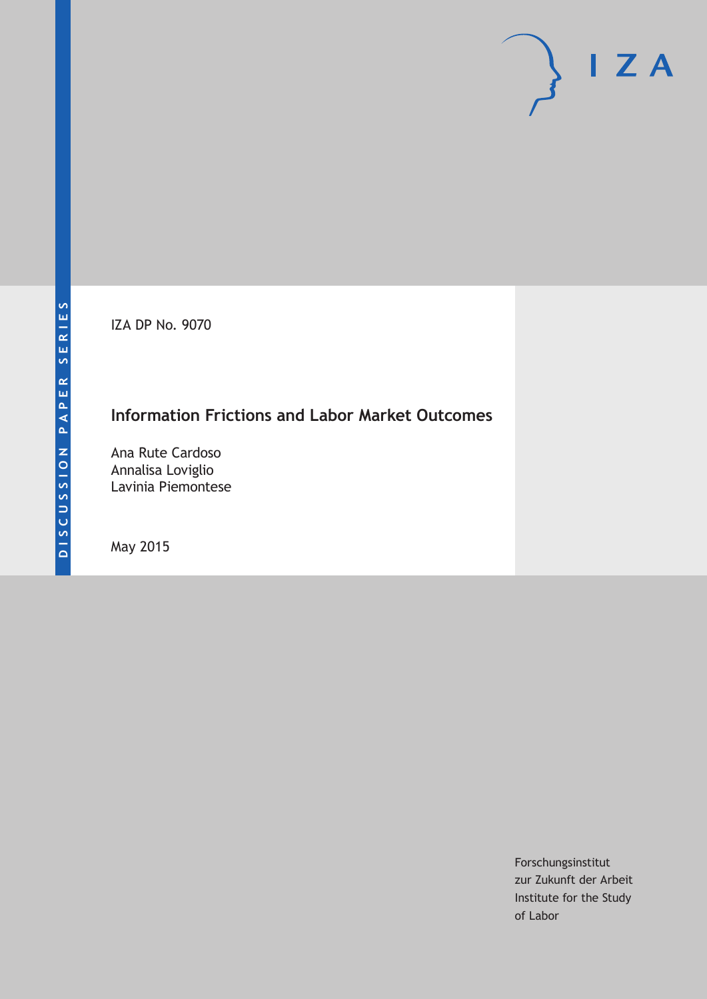IZA DP No. 9070

# **Information Frictions and Labor Market Outcomes**

Ana Rute Cardoso Annalisa Loviglio Lavinia Piemontese

May 2015

Forschungsinstitut zur Zukunft der Arbeit Institute for the Study of Labor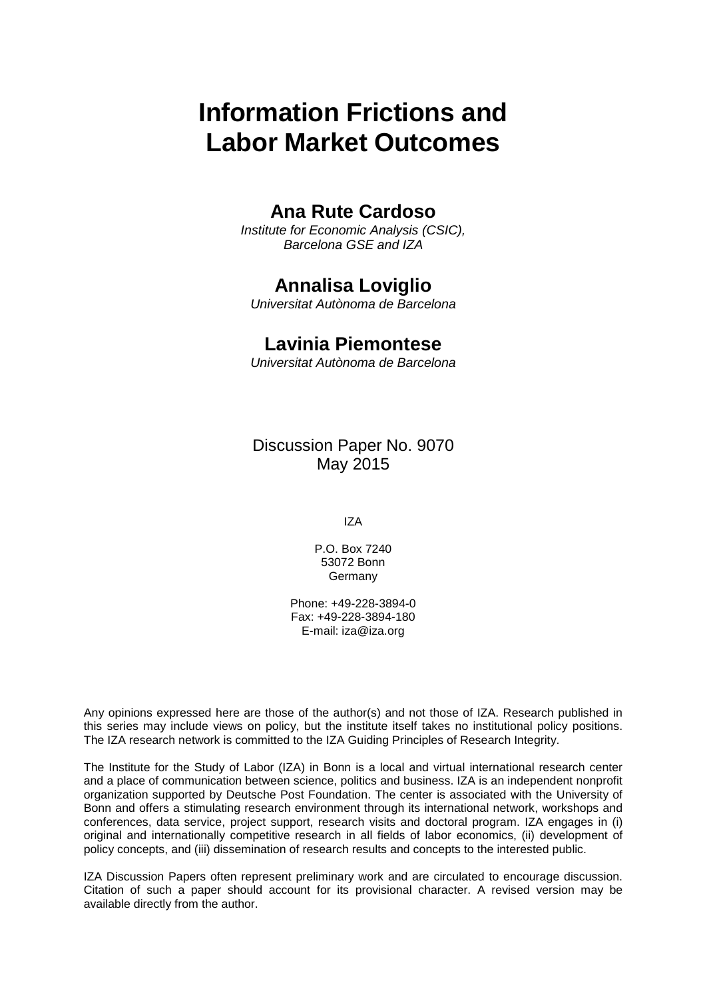# **Information Frictions and Labor Market Outcomes**

# **Ana Rute Cardoso**

*Institute for Economic Analysis (CSIC), Barcelona GSE and IZA*

# **Annalisa Loviglio**

*Universitat Autònoma de Barcelona*

# **Lavinia Piemontese**

*Universitat Autònoma de Barcelona*

Discussion Paper No. 9070 May 2015

IZA

P.O. Box 7240 53072 Bonn **Germany** 

Phone: +49-228-3894-0 Fax: +49-228-3894-180 E-mail: iza@iza.org

Any opinions expressed here are those of the author(s) and not those of IZA. Research published in this series may include views on policy, but the institute itself takes no institutional policy positions. The IZA research network is committed to the IZA Guiding Principles of Research Integrity.

The Institute for the Study of Labor (IZA) in Bonn is a local and virtual international research center and a place of communication between science, politics and business. IZA is an independent nonprofit organization supported by Deutsche Post Foundation. The center is associated with the University of Bonn and offers a stimulating research environment through its international network, workshops and conferences, data service, project support, research visits and doctoral program. IZA engages in (i) original and internationally competitive research in all fields of labor economics, (ii) development of policy concepts, and (iii) dissemination of research results and concepts to the interested public.

IZA Discussion Papers often represent preliminary work and are circulated to encourage discussion. Citation of such a paper should account for its provisional character. A revised version may be available directly from the author.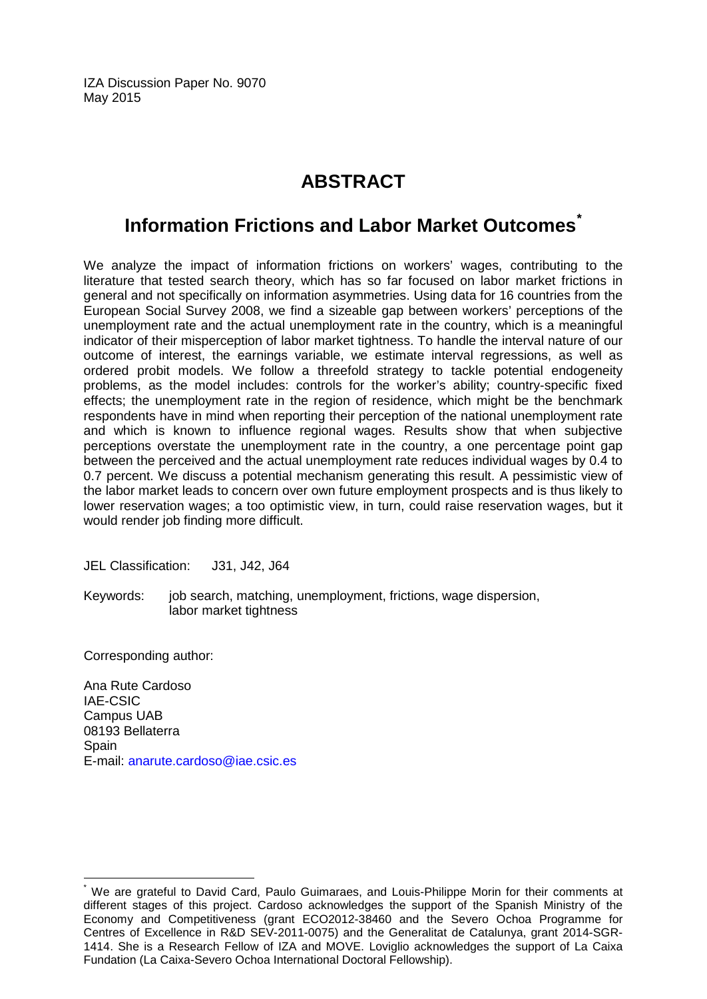IZA Discussion Paper No. 9070 May 2015

# **ABSTRACT**

# **Information Frictions and Labor Market Outcomes[\\*](#page-2-0)**

We analyze the impact of information frictions on workers' wages, contributing to the literature that tested search theory, which has so far focused on labor market frictions in general and not specifically on information asymmetries. Using data for 16 countries from the European Social Survey 2008, we find a sizeable gap between workers' perceptions of the unemployment rate and the actual unemployment rate in the country, which is a meaningful indicator of their misperception of labor market tightness. To handle the interval nature of our outcome of interest, the earnings variable, we estimate interval regressions, as well as ordered probit models. We follow a threefold strategy to tackle potential endogeneity problems, as the model includes: controls for the worker's ability; country-specific fixed effects; the unemployment rate in the region of residence, which might be the benchmark respondents have in mind when reporting their perception of the national unemployment rate and which is known to influence regional wages. Results show that when subjective perceptions overstate the unemployment rate in the country, a one percentage point gap between the perceived and the actual unemployment rate reduces individual wages by 0.4 to 0.7 percent. We discuss a potential mechanism generating this result. A pessimistic view of the labor market leads to concern over own future employment prospects and is thus likely to lower reservation wages; a too optimistic view, in turn, could raise reservation wages, but it would render job finding more difficult.

JEL Classification: J31, J42, J64

Keywords: job search, matching, unemployment, frictions, wage dispersion, labor market tightness

Corresponding author:

Ana Rute Cardoso IAE-CSIC Campus UAB 08193 Bellaterra **Spain** E-mail: [anarute.cardoso@iae.csic.es](mailto:anarute.cardoso@iae.csic.es)

<span id="page-2-0"></span>We are grateful to David Card, Paulo Guimaraes, and Louis-Philippe Morin for their comments at different stages of this project. Cardoso acknowledges the support of the Spanish Ministry of the Economy and Competitiveness (grant ECO2012-38460 and the Severo Ochoa Programme for Centres of Excellence in R&D SEV-2011-0075) and the Generalitat de Catalunya, grant 2014-SGR-1414. She is a Research Fellow of IZA and MOVE. Loviglio acknowledges the support of La Caixa Fundation (La Caixa-Severo Ochoa International Doctoral Fellowship).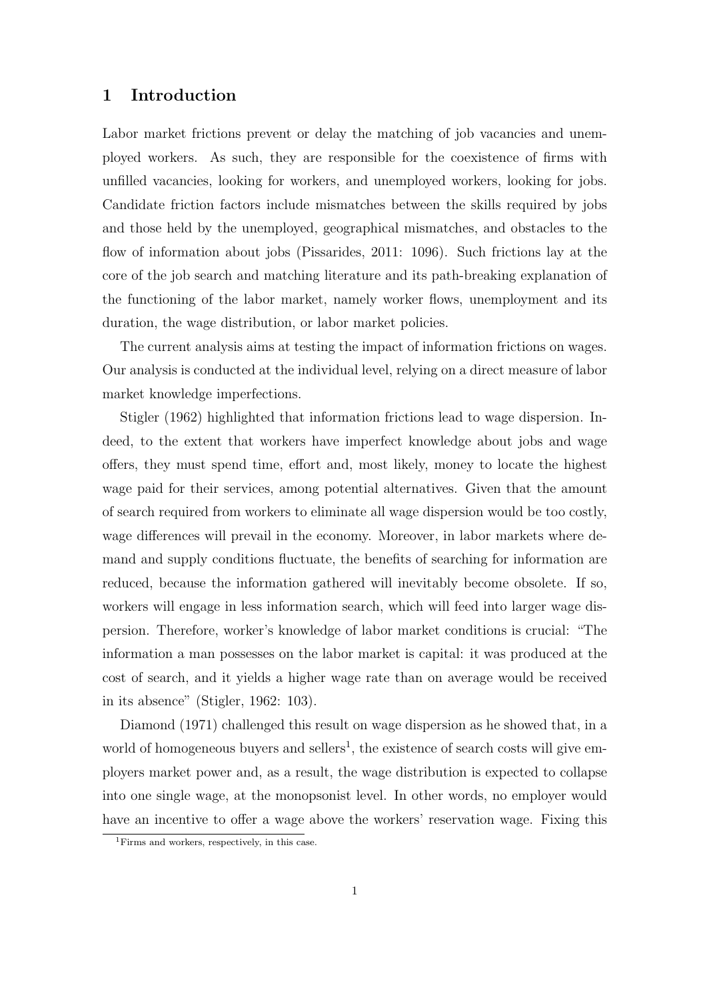## **1 Introduction**

Labor market frictions prevent or delay the matching of job vacancies and unemployed workers. As such, they are responsible for the coexistence of firms with unfilled vacancies, looking for workers, and unemployed workers, looking for jobs. Candidate friction factors include mismatches between the skills required by jobs and those held by the unemployed, geographical mismatches, and obstacles to the flow of information about jobs (Pissarides, 2011: 1096). Such frictions lay at the core of the job search and matching literature and its path-breaking explanation of the functioning of the labor market, namely worker flows, unemployment and its duration, the wage distribution, or labor market policies.

The current analysis aims at testing the impact of information frictions on wages. Our analysis is conducted at the individual level, relying on a direct measure of labor market knowledge imperfections.

Stigler (1962) highlighted that information frictions lead to wage dispersion. Indeed, to the extent that workers have imperfect knowledge about jobs and wage offers, they must spend time, effort and, most likely, money to locate the highest wage paid for their services, among potential alternatives. Given that the amount of search required from workers to eliminate all wage dispersion would be too costly, wage differences will prevail in the economy. Moreover, in labor markets where demand and supply conditions fluctuate, the benefits of searching for information are reduced, because the information gathered will inevitably become obsolete. If so, workers will engage in less information search, which will feed into larger wage dispersion. Therefore, worker's knowledge of labor market conditions is crucial: "The information a man possesses on the labor market is capital: it was produced at the cost of search, and it yields a higher wage rate than on average would be received in its absence" (Stigler, 1962: 103).

Diamond (1971) challenged this result on wage dispersion as he showed that, in a world of homogeneous buyers and sellers<sup>1</sup>, the existence of search costs will give employers market power and, as a result, the wage distribution is expected to collapse into one single wage, at the monopsonist level. In other words, no employer would have an incentive to offer a wage above the workers' reservation wage. Fixing this

<sup>1</sup>Firms and workers, respectively, in this case.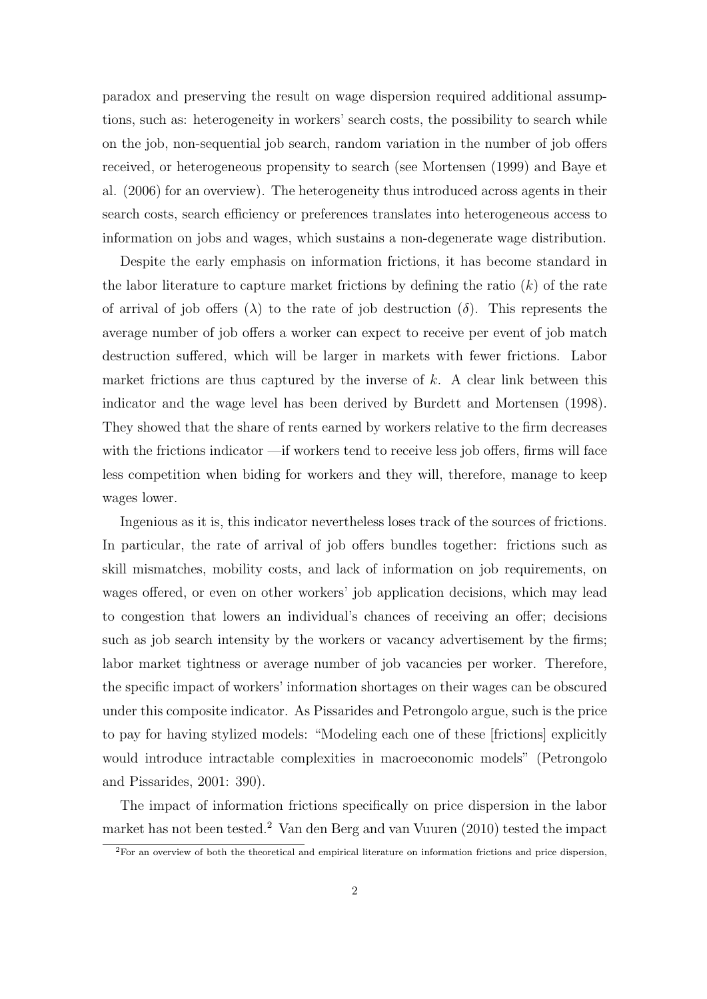paradox and preserving the result on wage dispersion required additional assumptions, such as: heterogeneity in workers' search costs, the possibility to search while on the job, non-sequential job search, random variation in the number of job offers received, or heterogeneous propensity to search (see Mortensen (1999) and Baye et al. (2006) for an overview). The heterogeneity thus introduced across agents in their search costs, search efficiency or preferences translates into heterogeneous access to information on jobs and wages, which sustains a non-degenerate wage distribution.

Despite the early emphasis on information frictions, it has become standard in the labor literature to capture market frictions by defining the ratio (*k*) of the rate of arrival of job offers  $(\lambda)$  to the rate of job destruction  $(\delta)$ . This represents the average number of job offers a worker can expect to receive per event of job match destruction suffered, which will be larger in markets with fewer frictions. Labor market frictions are thus captured by the inverse of *k*. A clear link between this indicator and the wage level has been derived by Burdett and Mortensen (1998). They showed that the share of rents earned by workers relative to the firm decreases with the frictions indicator —if workers tend to receive less job offers, firms will face less competition when biding for workers and they will, therefore, manage to keep wages lower.

Ingenious as it is, this indicator nevertheless loses track of the sources of frictions. In particular, the rate of arrival of job offers bundles together: frictions such as skill mismatches, mobility costs, and lack of information on job requirements, on wages offered, or even on other workers' job application decisions, which may lead to congestion that lowers an individual's chances of receiving an offer; decisions such as job search intensity by the workers or vacancy advertisement by the firms; labor market tightness or average number of job vacancies per worker. Therefore, the specific impact of workers' information shortages on their wages can be obscured under this composite indicator. As Pissarides and Petrongolo argue, such is the price to pay for having stylized models: "Modeling each one of these [frictions] explicitly would introduce intractable complexities in macroeconomic models" (Petrongolo and Pissarides, 2001: 390).

The impact of information frictions specifically on price dispersion in the labor market has not been tested.<sup>2</sup> Van den Berg and van Vuuren (2010) tested the impact

 ${}^{2}$ For an overview of both the theoretical and empirical literature on information frictions and price dispersion,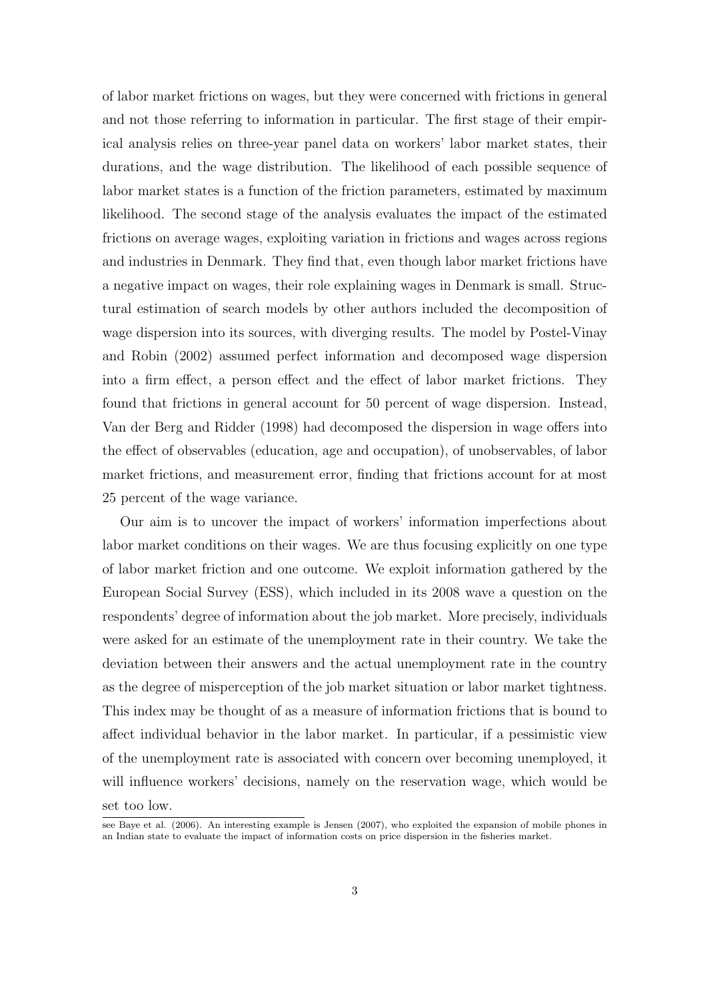of labor market frictions on wages, but they were concerned with frictions in general and not those referring to information in particular. The first stage of their empirical analysis relies on three-year panel data on workers' labor market states, their durations, and the wage distribution. The likelihood of each possible sequence of labor market states is a function of the friction parameters, estimated by maximum likelihood. The second stage of the analysis evaluates the impact of the estimated frictions on average wages, exploiting variation in frictions and wages across regions and industries in Denmark. They find that, even though labor market frictions have a negative impact on wages, their role explaining wages in Denmark is small. Structural estimation of search models by other authors included the decomposition of wage dispersion into its sources, with diverging results. The model by Postel-Vinay and Robin (2002) assumed perfect information and decomposed wage dispersion into a firm effect, a person effect and the effect of labor market frictions. They found that frictions in general account for 50 percent of wage dispersion. Instead, Van der Berg and Ridder (1998) had decomposed the dispersion in wage offers into the effect of observables (education, age and occupation), of unobservables, of labor market frictions, and measurement error, finding that frictions account for at most 25 percent of the wage variance.

Our aim is to uncover the impact of workers' information imperfections about labor market conditions on their wages. We are thus focusing explicitly on one type of labor market friction and one outcome. We exploit information gathered by the European Social Survey (ESS), which included in its 2008 wave a question on the respondents' degree of information about the job market. More precisely, individuals were asked for an estimate of the unemployment rate in their country. We take the deviation between their answers and the actual unemployment rate in the country as the degree of misperception of the job market situation or labor market tightness. This index may be thought of as a measure of information frictions that is bound to affect individual behavior in the labor market. In particular, if a pessimistic view of the unemployment rate is associated with concern over becoming unemployed, it will influence workers' decisions, namely on the reservation wage, which would be set too low.

see Baye et al. (2006). An interesting example is Jensen (2007), who exploited the expansion of mobile phones in an Indian state to evaluate the impact of information costs on price dispersion in the fisheries market.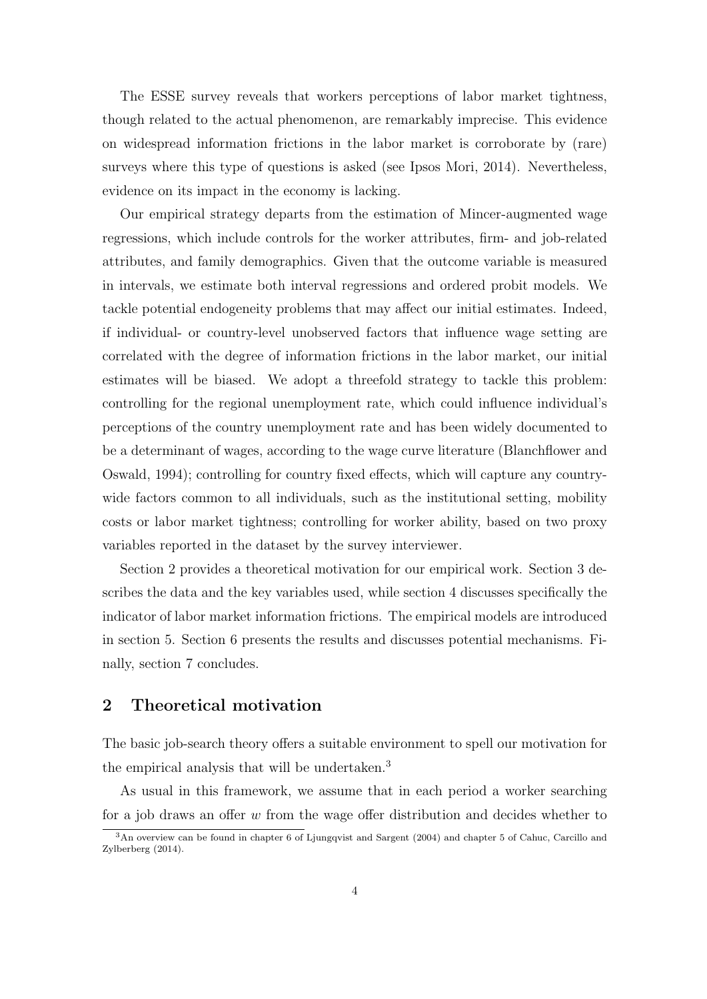The ESSE survey reveals that workers perceptions of labor market tightness, though related to the actual phenomenon, are remarkably imprecise. This evidence on widespread information frictions in the labor market is corroborate by (rare) surveys where this type of questions is asked (see Ipsos Mori, 2014). Nevertheless, evidence on its impact in the economy is lacking.

Our empirical strategy departs from the estimation of Mincer-augmented wage regressions, which include controls for the worker attributes, firm- and job-related attributes, and family demographics. Given that the outcome variable is measured in intervals, we estimate both interval regressions and ordered probit models. We tackle potential endogeneity problems that may affect our initial estimates. Indeed, if individual- or country-level unobserved factors that influence wage setting are correlated with the degree of information frictions in the labor market, our initial estimates will be biased. We adopt a threefold strategy to tackle this problem: controlling for the regional unemployment rate, which could influence individual's perceptions of the country unemployment rate and has been widely documented to be a determinant of wages, according to the wage curve literature (Blanchflower and Oswald, 1994); controlling for country fixed effects, which will capture any countrywide factors common to all individuals, such as the institutional setting, mobility costs or labor market tightness; controlling for worker ability, based on two proxy variables reported in the dataset by the survey interviewer.

Section 2 provides a theoretical motivation for our empirical work. Section 3 describes the data and the key variables used, while section 4 discusses specifically the indicator of labor market information frictions. The empirical models are introduced in section 5. Section 6 presents the results and discusses potential mechanisms. Finally, section 7 concludes.

# **2 Theoretical motivation**

The basic job-search theory offers a suitable environment to spell our motivation for the empirical analysis that will be undertaken.<sup>3</sup>

As usual in this framework, we assume that in each period a worker searching for a job draws an offer *w* from the wage offer distribution and decides whether to

<sup>&</sup>lt;sup>3</sup>An overview can be found in chapter 6 of Ljungqvist and Sargent (2004) and chapter 5 of Cahuc, Carcillo and Zylberberg (2014).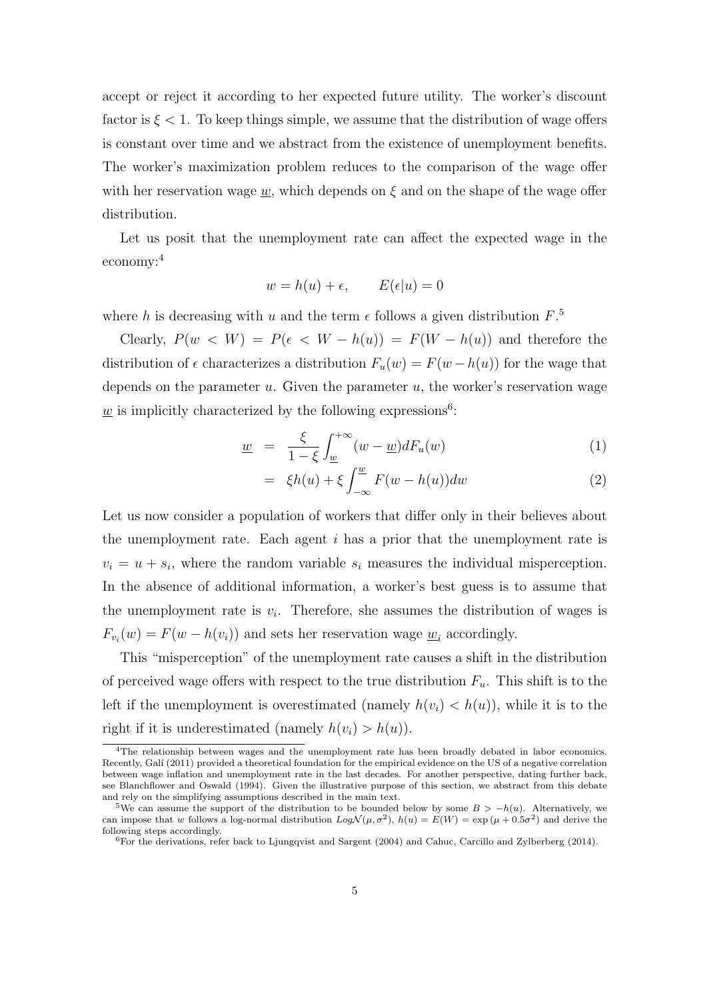accept or reject it according to her expected future utility. The worker's discount factor is  $\xi$  < 1. To keep things simple, we assume that the distribution of wage offers is constant over time and we abstract from the existence of unemployment benefits. The worker's maximization problem reduces to the comparison of the wage offer with her reservation wage  $w$ , which depends on  $\xi$  and on the shape of the wage offer distribution.

Let us posit that the unemployment rate can affect the expected wage in the economy:<sup>4</sup>

$$
w = h(u) + \epsilon, \qquad E(\epsilon | u) = 0
$$

where *h* is decreasing with *u* and the term  $\epsilon$  follows a given distribution  $F$ <sup>5</sup>

Clearly,  $P(w \lt W) = P(\epsilon \lt W - h(u)) = F(W - h(u))$  and therefore the distribution of  $\epsilon$  characterizes a distribution  $F_u(w) = F(w - h(u))$  for the wage that depends on the parameter *u*. Given the parameter *u*, the worker's reservation wage  $\underline{w}$  is implicitly characterized by the following expressions<sup>6</sup>:

$$
\underline{w} = \frac{\xi}{1-\xi} \int_{\underline{w}}^{+\infty} (w - \underline{w}) dF_u(w) \tag{1}
$$

$$
= \xi h(u) + \xi \int_{-\infty}^{w} F(w - h(u)) dw \tag{2}
$$

Let us now consider a population of workers that differ only in their believes about the unemployment rate. Each agent *i* has a prior that the unemployment rate is  $v_i = u + s_i$ , where the random variable  $s_i$  measures the individual misperception. In the absence of additional information, a worker's best guess is to assume that the unemployment rate is  $v_i$ . Therefore, she assumes the distribution of wages is  $F_{v_i}(w) = F(w - h(v_i))$  and sets her reservation wage  $\underline{w}_i$  accordingly.

This "misperception" of the unemployment rate causes a shift in the distribution of perceived wage offers with respect to the true distribution  $F_u$ . This shift is to the left if the unemployment is overestimated (namely  $h(v_i) < h(u)$ ), while it is to the right if it is underestimated (namely  $h(v_i) > h(u)$ ).

<sup>&</sup>lt;sup>4</sup>The relationship between wages and the unemployment rate has been broadly debated in labor economics. Recently, Galí (2011) provided a theoretical foundation for the empirical evidence on the US of a negative correlation between wage inflation and unemployment rate in the last decades. For another perspective, dating further back, see Blanchflower and Oswald (1994). Given the illustrative purpose of this section, we abstract from this debate and rely on the simplifying assumptions described in the main text.

<sup>&</sup>lt;sup>5</sup>We can assume the support of the distribution to be bounded below by some  $B > -h(u)$ . Alternatively, we can impose that *w* follows a log-normal distribution  $Log \mathcal{N}(\mu, \sigma^2)$ ,  $h(u) = E(W) = \exp(\mu + 0.5\sigma^2)$  and derive the following steps accordingly.

<sup>6</sup>For the derivations, refer back to Ljungqvist and Sargent (2004) and Cahuc, Carcillo and Zylberberg (2014).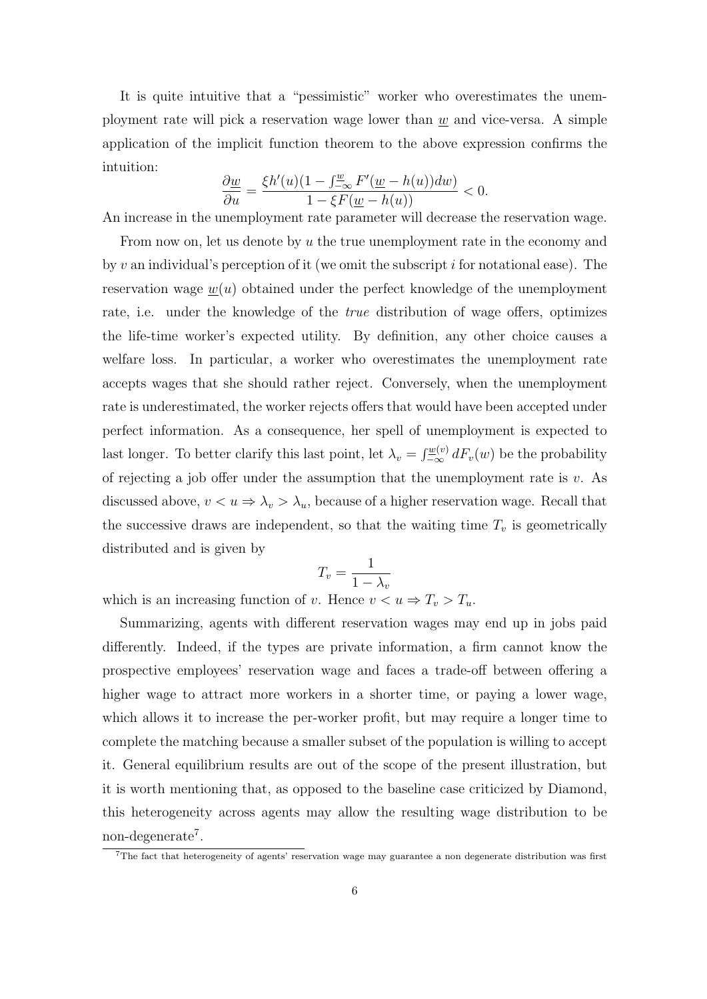It is quite intuitive that a "pessimistic" worker who overestimates the unemployment rate will pick a reservation wage lower than *w* and vice-versa. A simple application of the implicit function theorem to the above expression confirms the intuition:

$$
\frac{\partial \underline{w}}{\partial u} = \frac{\xi h'(u)(1 - \int_{-\infty}^{\underline{w}} F'(\underline{w} - h(u))dw)}{1 - \xi F(\underline{w} - h(u))} < 0.
$$

An increase in the unemployment rate parameter will decrease the reservation wage.

From now on, let us denote by *u* the true unemployment rate in the economy and by *v* an individual's perception of it (we omit the subscript *i* for notational ease). The reservation wage  $w(u)$  obtained under the perfect knowledge of the unemployment rate, i.e. under the knowledge of the *true* distribution of wage offers, optimizes the life-time worker's expected utility. By definition, any other choice causes a welfare loss. In particular, a worker who overestimates the unemployment rate accepts wages that she should rather reject. Conversely, when the unemployment rate is underestimated, the worker rejects offers that would have been accepted under perfect information. As a consequence, her spell of unemployment is expected to last longer. To better clarify this last point, let  $\lambda_v = \int_{-\infty}^{\underline{w}(v)} dF_v(w)$  be the probability of rejecting a job offer under the assumption that the unemployment rate is *v*. As discussed above,  $v < u \Rightarrow \lambda_v > \lambda_u$ , because of a higher reservation wage. Recall that the successive draws are independent, so that the waiting time  $T_v$  is geometrically distributed and is given by

$$
T_v = \frac{1}{1 - \lambda_v}
$$

which is an increasing function of *v*. Hence  $v < u \Rightarrow T_v > T_u$ .

Summarizing, agents with different reservation wages may end up in jobs paid differently. Indeed, if the types are private information, a firm cannot know the prospective employees' reservation wage and faces a trade-off between offering a higher wage to attract more workers in a shorter time, or paying a lower wage, which allows it to increase the per-worker profit, but may require a longer time to complete the matching because a smaller subset of the population is willing to accept it. General equilibrium results are out of the scope of the present illustration, but it is worth mentioning that, as opposed to the baseline case criticized by Diamond, this heterogeneity across agents may allow the resulting wage distribution to be non-degenerate<sup>7</sup>.

<sup>7</sup>The fact that heterogeneity of agents' reservation wage may guarantee a non degenerate distribution was first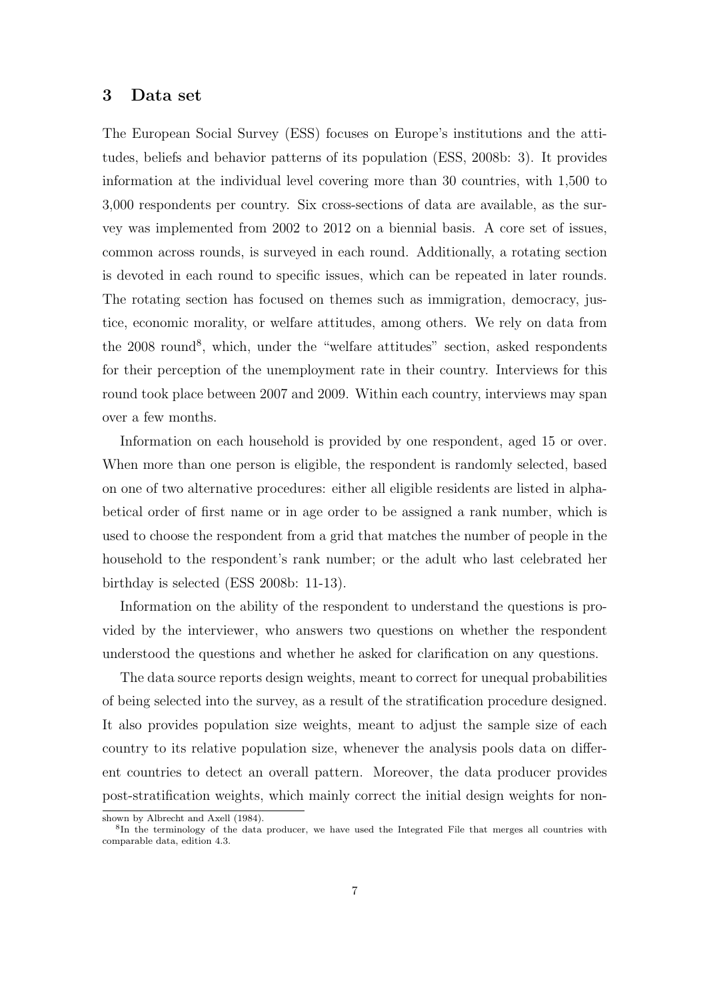## **3 Data set**

The European Social Survey (ESS) focuses on Europe's institutions and the attitudes, beliefs and behavior patterns of its population (ESS, 2008b: 3). It provides information at the individual level covering more than 30 countries, with 1,500 to 3,000 respondents per country. Six cross-sections of data are available, as the survey was implemented from 2002 to 2012 on a biennial basis. A core set of issues, common across rounds, is surveyed in each round. Additionally, a rotating section is devoted in each round to specific issues, which can be repeated in later rounds. The rotating section has focused on themes such as immigration, democracy, justice, economic morality, or welfare attitudes, among others. We rely on data from the 2008 round<sup>8</sup>, which, under the "welfare attitudes" section, asked respondents for their perception of the unemployment rate in their country. Interviews for this round took place between 2007 and 2009. Within each country, interviews may span over a few months.

Information on each household is provided by one respondent, aged 15 or over. When more than one person is eligible, the respondent is randomly selected, based on one of two alternative procedures: either all eligible residents are listed in alphabetical order of first name or in age order to be assigned a rank number, which is used to choose the respondent from a grid that matches the number of people in the household to the respondent's rank number; or the adult who last celebrated her birthday is selected (ESS 2008b: 11-13).

Information on the ability of the respondent to understand the questions is provided by the interviewer, who answers two questions on whether the respondent understood the questions and whether he asked for clarification on any questions.

The data source reports design weights, meant to correct for unequal probabilities of being selected into the survey, as a result of the stratification procedure designed. It also provides population size weights, meant to adjust the sample size of each country to its relative population size, whenever the analysis pools data on different countries to detect an overall pattern. Moreover, the data producer provides post-stratification weights, which mainly correct the initial design weights for non-

shown by Albrecht and Axell (1984).

<sup>&</sup>lt;sup>8</sup>In the terminology of the data producer, we have used the Integrated File that merges all countries with comparable data, edition 4.3.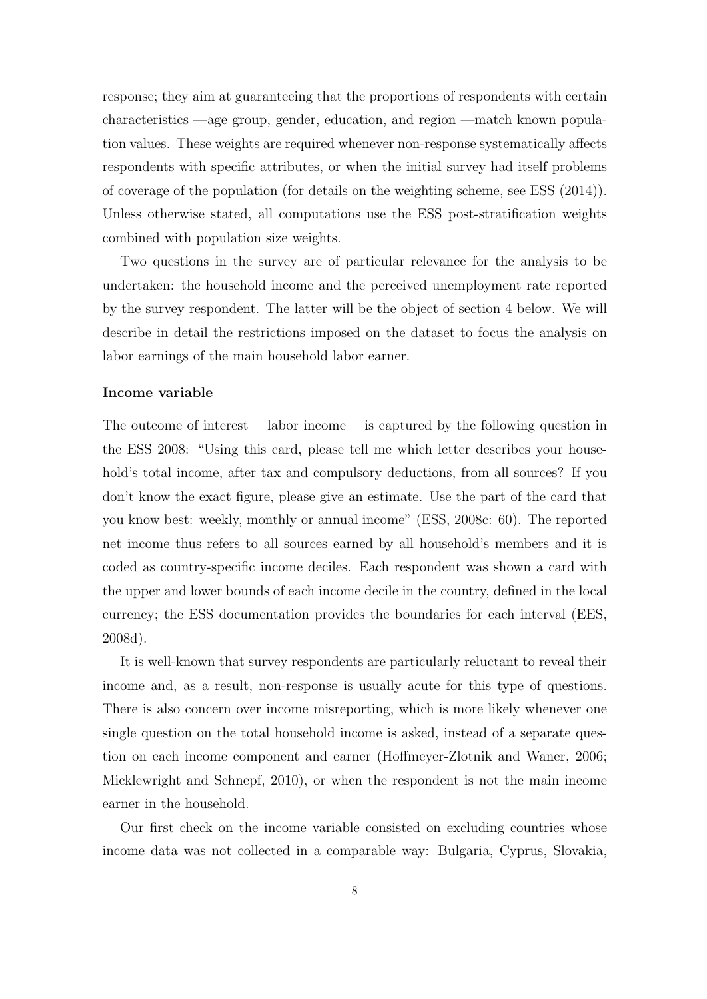response; they aim at guaranteeing that the proportions of respondents with certain characteristics —age group, gender, education, and region —match known population values. These weights are required whenever non-response systematically affects respondents with specific attributes, or when the initial survey had itself problems of coverage of the population (for details on the weighting scheme, see ESS (2014)). Unless otherwise stated, all computations use the ESS post-stratification weights combined with population size weights.

Two questions in the survey are of particular relevance for the analysis to be undertaken: the household income and the perceived unemployment rate reported by the survey respondent. The latter will be the object of section 4 below. We will describe in detail the restrictions imposed on the dataset to focus the analysis on labor earnings of the main household labor earner.

#### **Income variable**

The outcome of interest —labor income —is captured by the following question in the ESS 2008: "Using this card, please tell me which letter describes your household's total income, after tax and compulsory deductions, from all sources? If you don't know the exact figure, please give an estimate. Use the part of the card that you know best: weekly, monthly or annual income" (ESS, 2008c: 60). The reported net income thus refers to all sources earned by all household's members and it is coded as country-specific income deciles. Each respondent was shown a card with the upper and lower bounds of each income decile in the country, defined in the local currency; the ESS documentation provides the boundaries for each interval (EES, 2008d).

It is well-known that survey respondents are particularly reluctant to reveal their income and, as a result, non-response is usually acute for this type of questions. There is also concern over income misreporting, which is more likely whenever one single question on the total household income is asked, instead of a separate question on each income component and earner (Hoffmeyer-Zlotnik and Waner, 2006; Micklewright and Schnepf, 2010), or when the respondent is not the main income earner in the household.

Our first check on the income variable consisted on excluding countries whose income data was not collected in a comparable way: Bulgaria, Cyprus, Slovakia,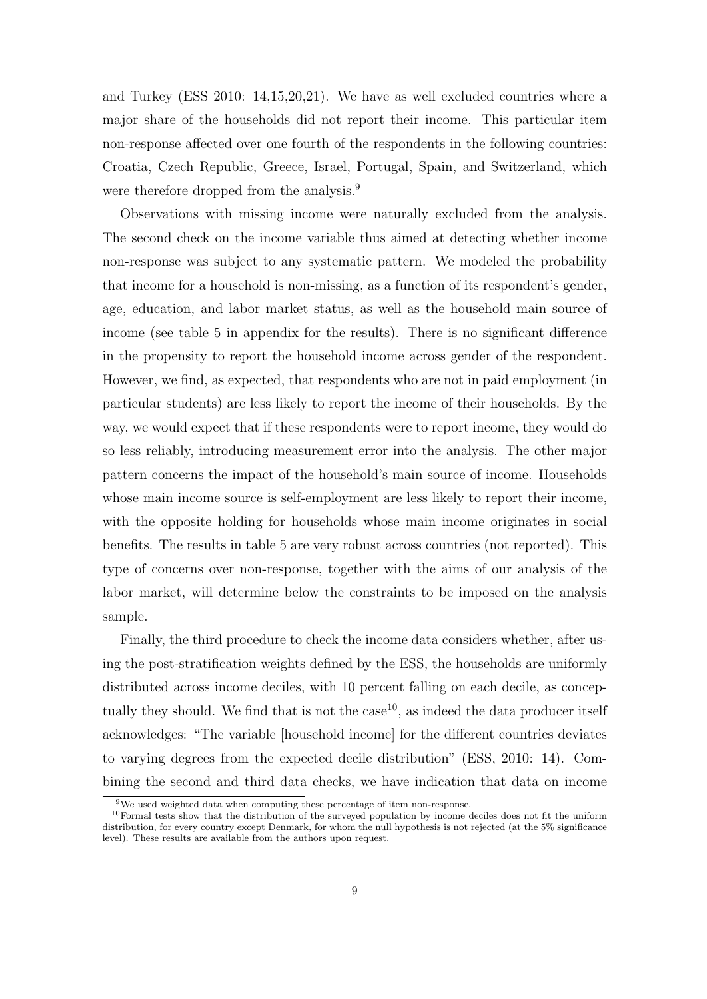and Turkey (ESS 2010: 14,15,20,21). We have as well excluded countries where a major share of the households did not report their income. This particular item non-response affected over one fourth of the respondents in the following countries: Croatia, Czech Republic, Greece, Israel, Portugal, Spain, and Switzerland, which were therefore dropped from the analysis.<sup>9</sup>

Observations with missing income were naturally excluded from the analysis. The second check on the income variable thus aimed at detecting whether income non-response was subject to any systematic pattern. We modeled the probability that income for a household is non-missing, as a function of its respondent's gender, age, education, and labor market status, as well as the household main source of income (see table 5 in appendix for the results). There is no significant difference in the propensity to report the household income across gender of the respondent. However, we find, as expected, that respondents who are not in paid employment (in particular students) are less likely to report the income of their households. By the way, we would expect that if these respondents were to report income, they would do so less reliably, introducing measurement error into the analysis. The other major pattern concerns the impact of the household's main source of income. Households whose main income source is self-employment are less likely to report their income, with the opposite holding for households whose main income originates in social benefits. The results in table 5 are very robust across countries (not reported). This type of concerns over non-response, together with the aims of our analysis of the labor market, will determine below the constraints to be imposed on the analysis sample.

Finally, the third procedure to check the income data considers whether, after using the post-stratification weights defined by the ESS, the households are uniformly distributed across income deciles, with 10 percent falling on each decile, as conceptually they should. We find that is not the case  $10$ , as indeed the data producer itself acknowledges: "The variable [household income] for the different countries deviates to varying degrees from the expected decile distribution" (ESS, 2010: 14). Combining the second and third data checks, we have indication that data on income

 $9$ We used weighted data when computing these percentage of item non-response.

<sup>10</sup>Formal tests show that the distribution of the surveyed population by income deciles does not fit the uniform distribution, for every country except Denmark, for whom the null hypothesis is not rejected (at the 5% significance level). These results are available from the authors upon request.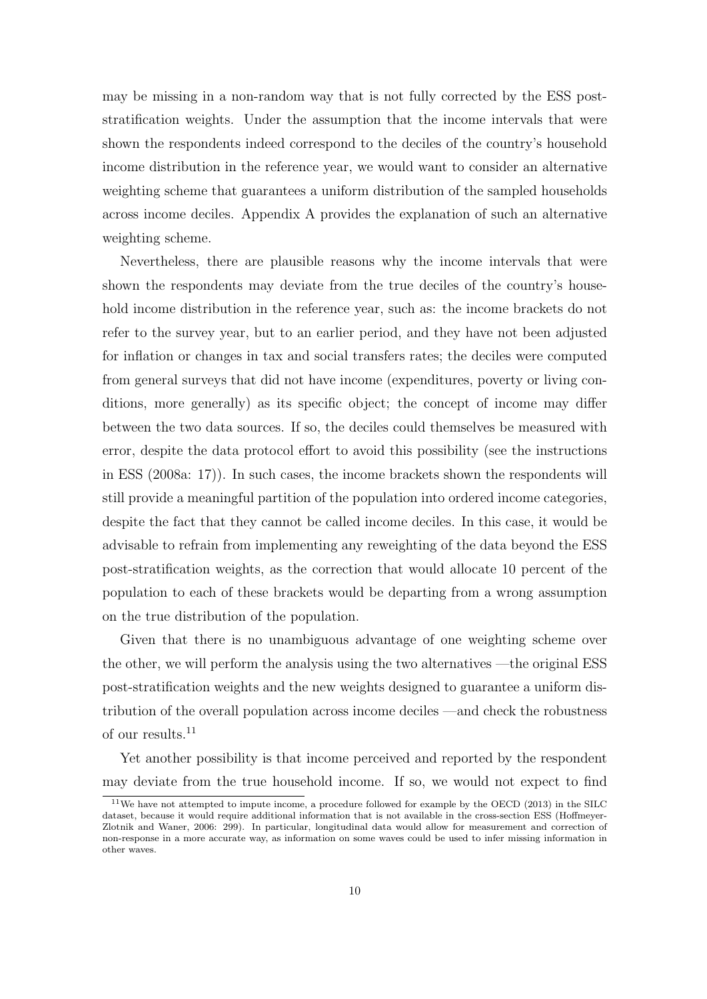may be missing in a non-random way that is not fully corrected by the ESS poststratification weights. Under the assumption that the income intervals that were shown the respondents indeed correspond to the deciles of the country's household income distribution in the reference year, we would want to consider an alternative weighting scheme that guarantees a uniform distribution of the sampled households across income deciles. Appendix A provides the explanation of such an alternative weighting scheme.

Nevertheless, there are plausible reasons why the income intervals that were shown the respondents may deviate from the true deciles of the country's household income distribution in the reference year, such as: the income brackets do not refer to the survey year, but to an earlier period, and they have not been adjusted for inflation or changes in tax and social transfers rates; the deciles were computed from general surveys that did not have income (expenditures, poverty or living conditions, more generally) as its specific object; the concept of income may differ between the two data sources. If so, the deciles could themselves be measured with error, despite the data protocol effort to avoid this possibility (see the instructions in ESS (2008a: 17)). In such cases, the income brackets shown the respondents will still provide a meaningful partition of the population into ordered income categories, despite the fact that they cannot be called income deciles. In this case, it would be advisable to refrain from implementing any reweighting of the data beyond the ESS post-stratification weights, as the correction that would allocate 10 percent of the population to each of these brackets would be departing from a wrong assumption on the true distribution of the population.

Given that there is no unambiguous advantage of one weighting scheme over the other, we will perform the analysis using the two alternatives —the original ESS post-stratification weights and the new weights designed to guarantee a uniform distribution of the overall population across income deciles —and check the robustness of our results.<sup>11</sup>

Yet another possibility is that income perceived and reported by the respondent may deviate from the true household income. If so, we would not expect to find

<sup>11</sup>We have not attempted to impute income, a procedure followed for example by the OECD (2013) in the SILC dataset, because it would require additional information that is not available in the cross-section ESS (Hoffmeyer-Zlotnik and Waner, 2006: 299). In particular, longitudinal data would allow for measurement and correction of non-response in a more accurate way, as information on some waves could be used to infer missing information in other waves.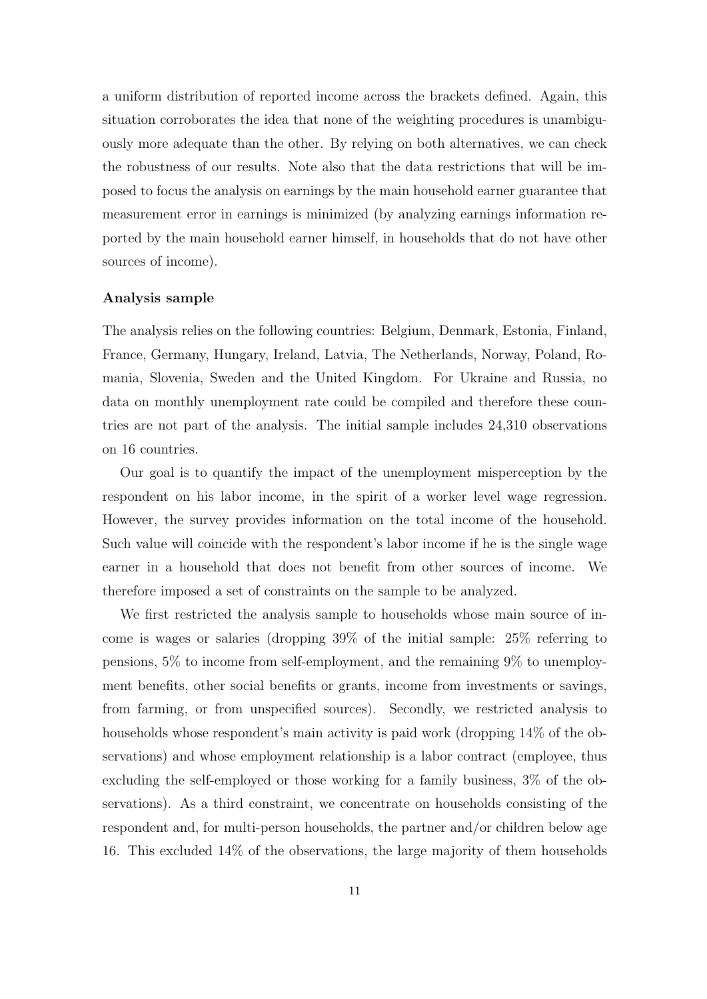a uniform distribution of reported income across the brackets defined. Again, this situation corroborates the idea that none of the weighting procedures is unambiguously more adequate than the other. By relying on both alternatives, we can check the robustness of our results. Note also that the data restrictions that will be imposed to focus the analysis on earnings by the main household earner guarantee that measurement error in earnings is minimized (by analyzing earnings information reported by the main household earner himself, in households that do not have other sources of income).

#### **Analysis sample**

The analysis relies on the following countries: Belgium, Denmark, Estonia, Finland, France, Germany, Hungary, Ireland, Latvia, The Netherlands, Norway, Poland, Romania, Slovenia, Sweden and the United Kingdom. For Ukraine and Russia, no data on monthly unemployment rate could be compiled and therefore these countries are not part of the analysis. The initial sample includes 24,310 observations on 16 countries.

Our goal is to quantify the impact of the unemployment misperception by the respondent on his labor income, in the spirit of a worker level wage regression. However, the survey provides information on the total income of the household. Such value will coincide with the respondent's labor income if he is the single wage earner in a household that does not benefit from other sources of income. We therefore imposed a set of constraints on the sample to be analyzed.

We first restricted the analysis sample to households whose main source of income is wages or salaries (dropping 39% of the initial sample: 25% referring to pensions, 5% to income from self-employment, and the remaining 9% to unemployment benefits, other social benefits or grants, income from investments or savings, from farming, or from unspecified sources). Secondly, we restricted analysis to households whose respondent's main activity is paid work (dropping  $14\%$  of the observations) and whose employment relationship is a labor contract (employee, thus excluding the self-employed or those working for a family business, 3% of the observations). As a third constraint, we concentrate on households consisting of the respondent and, for multi-person households, the partner and/or children below age 16. This excluded 14% of the observations, the large majority of them households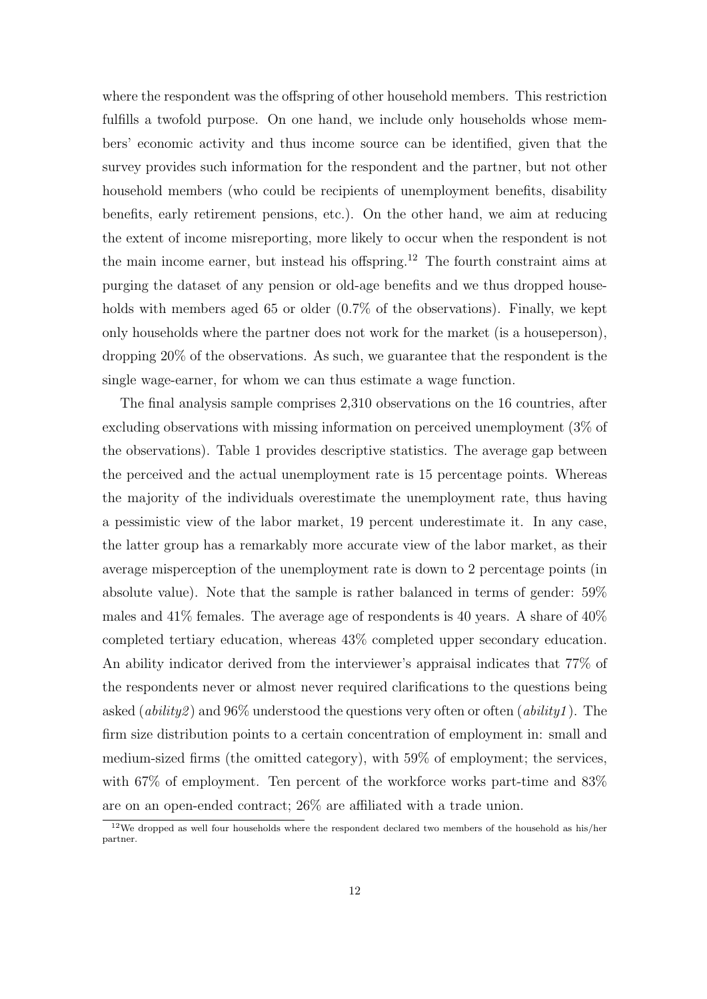where the respondent was the offspring of other household members. This restriction fulfills a twofold purpose. On one hand, we include only households whose members' economic activity and thus income source can be identified, given that the survey provides such information for the respondent and the partner, but not other household members (who could be recipients of unemployment benefits, disability benefits, early retirement pensions, etc.). On the other hand, we aim at reducing the extent of income misreporting, more likely to occur when the respondent is not the main income earner, but instead his offspring.<sup>12</sup> The fourth constraint aims at purging the dataset of any pension or old-age benefits and we thus dropped households with members aged 65 or older  $(0.7\%$  of the observations). Finally, we kept only households where the partner does not work for the market (is a houseperson), dropping 20% of the observations. As such, we guarantee that the respondent is the single wage-earner, for whom we can thus estimate a wage function.

The final analysis sample comprises 2,310 observations on the 16 countries, after excluding observations with missing information on perceived unemployment (3% of the observations). Table 1 provides descriptive statistics. The average gap between the perceived and the actual unemployment rate is 15 percentage points. Whereas the majority of the individuals overestimate the unemployment rate, thus having a pessimistic view of the labor market, 19 percent underestimate it. In any case, the latter group has a remarkably more accurate view of the labor market, as their average misperception of the unemployment rate is down to 2 percentage points (in absolute value). Note that the sample is rather balanced in terms of gender: 59% males and 41% females. The average age of respondents is 40 years. A share of 40% completed tertiary education, whereas 43% completed upper secondary education. An ability indicator derived from the interviewer's appraisal indicates that 77% of the respondents never or almost never required clarifications to the questions being asked (*ability2* ) and 96% understood the questions very often or often (*ability1* ). The firm size distribution points to a certain concentration of employment in: small and medium-sized firms (the omitted category), with 59% of employment; the services, with  $67\%$  of employment. Ten percent of the workforce works part-time and  $83\%$ are on an open-ended contract; 26% are affiliated with a trade union.

 $12$ We dropped as well four households where the respondent declared two members of the household as his/her partner.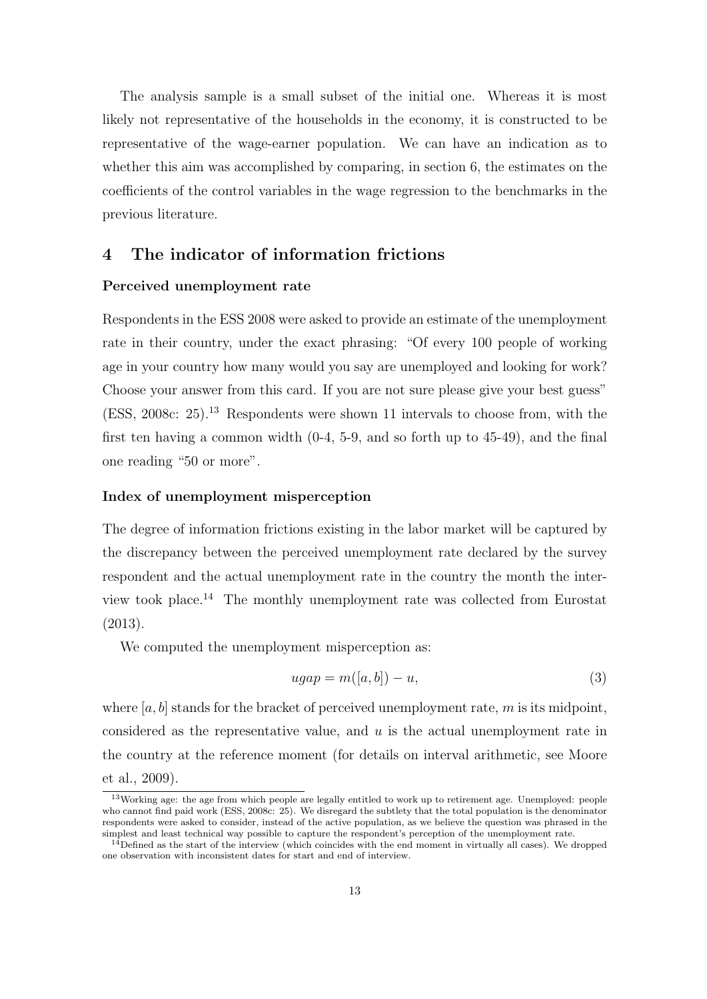The analysis sample is a small subset of the initial one. Whereas it is most likely not representative of the households in the economy, it is constructed to be representative of the wage-earner population. We can have an indication as to whether this aim was accomplished by comparing, in section 6, the estimates on the coefficients of the control variables in the wage regression to the benchmarks in the previous literature.

# **4 The indicator of information frictions**

#### **Perceived unemployment rate**

Respondents in the ESS 2008 were asked to provide an estimate of the unemployment rate in their country, under the exact phrasing: "Of every 100 people of working age in your country how many would you say are unemployed and looking for work? Choose your answer from this card. If you are not sure please give your best guess" (ESS, 2008c: 25).<sup>13</sup> Respondents were shown 11 intervals to choose from, with the first ten having a common width (0-4, 5-9, and so forth up to 45-49), and the final one reading "50 or more".

#### **Index of unemployment misperception**

The degree of information frictions existing in the labor market will be captured by the discrepancy between the perceived unemployment rate declared by the survey respondent and the actual unemployment rate in the country the month the interview took place.<sup>14</sup> The monthly unemployment rate was collected from Eurostat (2013).

We computed the unemployment misperception as:

$$
ugap = m([a, b]) - u,\t\t(3)
$$

where [a, b] stands for the bracket of perceived unemployment rate, m is its midpoint, considered as the representative value, and *u* is the actual unemployment rate in the country at the reference moment (for details on interval arithmetic, see Moore et al., 2009).

<sup>13</sup>Working age: the age from which people are legally entitled to work up to retirement age. Unemployed: people who cannot find paid work (ESS, 2008c: 25). We disregard the subtlety that the total population is the denominator respondents were asked to consider, instead of the active population, as we believe the question was phrased in the simplest and least technical way possible to capture the respondent's perception of the unemployment rate.

 $14$ Defined as the start of the interview (which coincides with the end moment in virtually all cases). We dropped one observation with inconsistent dates for start and end of interview.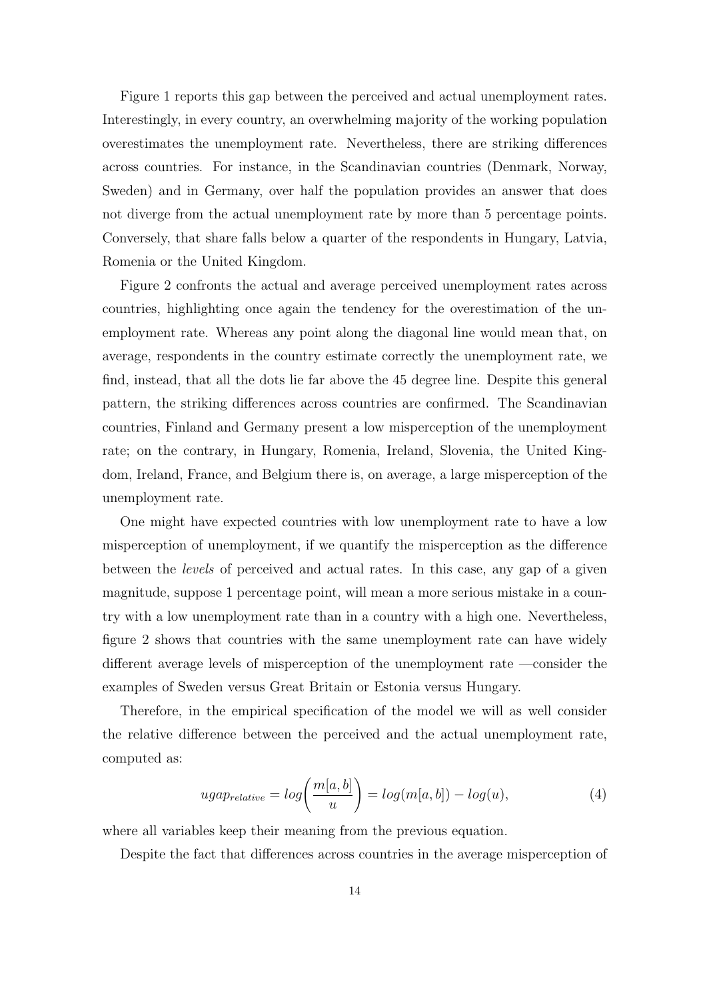Figure 1 reports this gap between the perceived and actual unemployment rates. Interestingly, in every country, an overwhelming majority of the working population overestimates the unemployment rate. Nevertheless, there are striking differences across countries. For instance, in the Scandinavian countries (Denmark, Norway, Sweden) and in Germany, over half the population provides an answer that does not diverge from the actual unemployment rate by more than 5 percentage points. Conversely, that share falls below a quarter of the respondents in Hungary, Latvia, Romenia or the United Kingdom.

Figure 2 confronts the actual and average perceived unemployment rates across countries, highlighting once again the tendency for the overestimation of the unemployment rate. Whereas any point along the diagonal line would mean that, on average, respondents in the country estimate correctly the unemployment rate, we find, instead, that all the dots lie far above the 45 degree line. Despite this general pattern, the striking differences across countries are confirmed. The Scandinavian countries, Finland and Germany present a low misperception of the unemployment rate; on the contrary, in Hungary, Romenia, Ireland, Slovenia, the United Kingdom, Ireland, France, and Belgium there is, on average, a large misperception of the unemployment rate.

One might have expected countries with low unemployment rate to have a low misperception of unemployment, if we quantify the misperception as the difference between the *levels* of perceived and actual rates. In this case, any gap of a given magnitude, suppose 1 percentage point, will mean a more serious mistake in a country with a low unemployment rate than in a country with a high one. Nevertheless, figure 2 shows that countries with the same unemployment rate can have widely different average levels of misperception of the unemployment rate —consider the examples of Sweden versus Great Britain or Estonia versus Hungary.

Therefore, in the empirical specification of the model we will as well consider the relative difference between the perceived and the actual unemployment rate, computed as:

$$
ugap_{relative} = log\left(\frac{m[a,b]}{u}\right) = log(m[a,b]) - log(u),\tag{4}
$$

where all variables keep their meaning from the previous equation.

Despite the fact that differences across countries in the average misperception of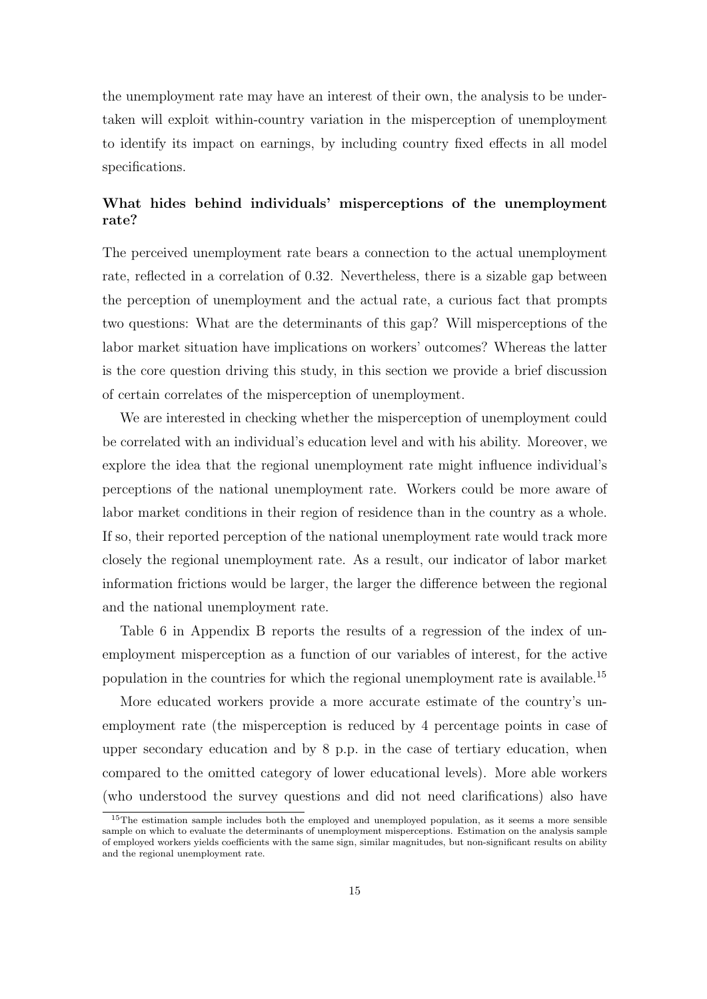the unemployment rate may have an interest of their own, the analysis to be undertaken will exploit within-country variation in the misperception of unemployment to identify its impact on earnings, by including country fixed effects in all model specifications.

## **What hides behind individuals' misperceptions of the unemployment rate?**

The perceived unemployment rate bears a connection to the actual unemployment rate, reflected in a correlation of 0.32. Nevertheless, there is a sizable gap between the perception of unemployment and the actual rate, a curious fact that prompts two questions: What are the determinants of this gap? Will misperceptions of the labor market situation have implications on workers' outcomes? Whereas the latter is the core question driving this study, in this section we provide a brief discussion of certain correlates of the misperception of unemployment.

We are interested in checking whether the misperception of unemployment could be correlated with an individual's education level and with his ability. Moreover, we explore the idea that the regional unemployment rate might influence individual's perceptions of the national unemployment rate. Workers could be more aware of labor market conditions in their region of residence than in the country as a whole. If so, their reported perception of the national unemployment rate would track more closely the regional unemployment rate. As a result, our indicator of labor market information frictions would be larger, the larger the difference between the regional and the national unemployment rate.

Table 6 in Appendix B reports the results of a regression of the index of unemployment misperception as a function of our variables of interest, for the active population in the countries for which the regional unemployment rate is available.<sup>15</sup>

More educated workers provide a more accurate estimate of the country's unemployment rate (the misperception is reduced by 4 percentage points in case of upper secondary education and by 8 p.p. in the case of tertiary education, when compared to the omitted category of lower educational levels). More able workers (who understood the survey questions and did not need clarifications) also have

<sup>&</sup>lt;sup>15</sup>The estimation sample includes both the employed and unemployed population, as it seems a more sensible sample on which to evaluate the determinants of unemployment misperceptions. Estimation on the analysis sample of employed workers yields coefficients with the same sign, similar magnitudes, but non-significant results on ability and the regional unemployment rate.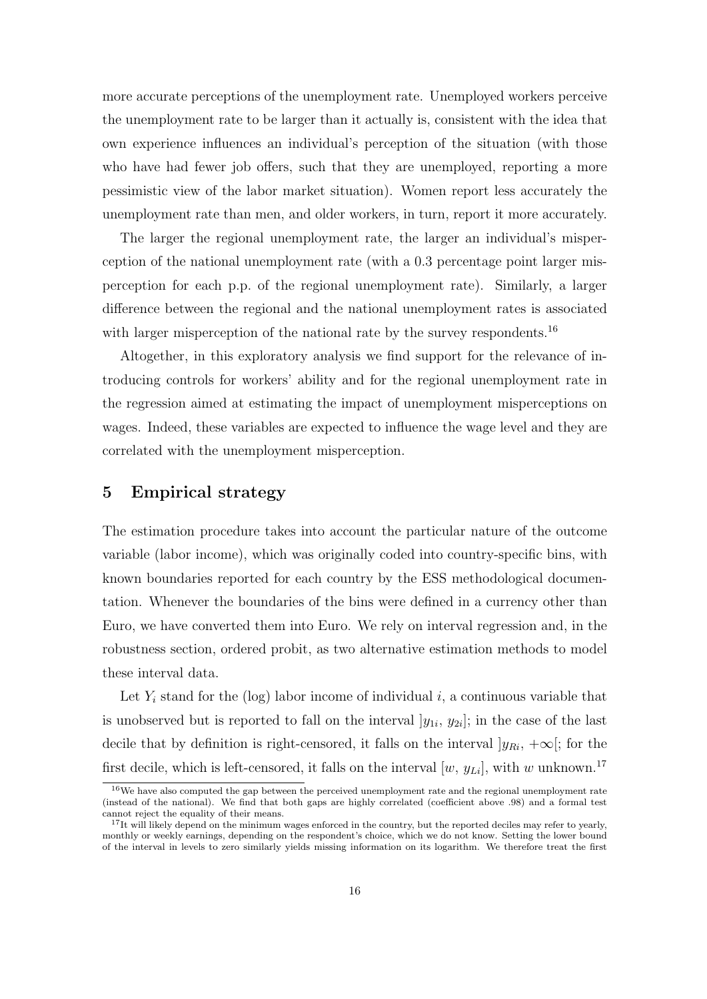more accurate perceptions of the unemployment rate. Unemployed workers perceive the unemployment rate to be larger than it actually is, consistent with the idea that own experience influences an individual's perception of the situation (with those who have had fewer job offers, such that they are unemployed, reporting a more pessimistic view of the labor market situation). Women report less accurately the unemployment rate than men, and older workers, in turn, report it more accurately.

The larger the regional unemployment rate, the larger an individual's misperception of the national unemployment rate (with a 0.3 percentage point larger misperception for each p.p. of the regional unemployment rate). Similarly, a larger difference between the regional and the national unemployment rates is associated with larger misperception of the national rate by the survey respondents.<sup>16</sup>

Altogether, in this exploratory analysis we find support for the relevance of introducing controls for workers' ability and for the regional unemployment rate in the regression aimed at estimating the impact of unemployment misperceptions on wages. Indeed, these variables are expected to influence the wage level and they are correlated with the unemployment misperception.

# **5 Empirical strategy**

The estimation procedure takes into account the particular nature of the outcome variable (labor income), which was originally coded into country-specific bins, with known boundaries reported for each country by the ESS methodological documentation. Whenever the boundaries of the bins were defined in a currency other than Euro, we have converted them into Euro. We rely on interval regression and, in the robustness section, ordered probit, as two alternative estimation methods to model these interval data.

Let  $Y_i$  stand for the (log) labor income of individual  $i$ , a continuous variable that is unobserved but is reported to fall on the interval  $[y_{1i}, y_{2i}]$ ; in the case of the last decile that by definition is right-censored, it falls on the interval  $|y_{Ri}, +\infty|$ ; for the first decile, which is left-censored, it falls on the interval  $[w, y_{Li}]$ , with *w* unknown.<sup>17</sup>

<sup>16</sup>We have also computed the gap between the perceived unemployment rate and the regional unemployment rate (instead of the national). We find that both gaps are highly correlated (coefficient above .98) and a formal test cannot reject the equality of their means.

<sup>&</sup>lt;sup>17</sup>It will likely depend on the minimum wages enforced in the country, but the reported deciles may refer to yearly, monthly or weekly earnings, depending on the respondent's choice, which we do not know. Setting the lower bound of the interval in levels to zero similarly yields missing information on its logarithm. We therefore treat the first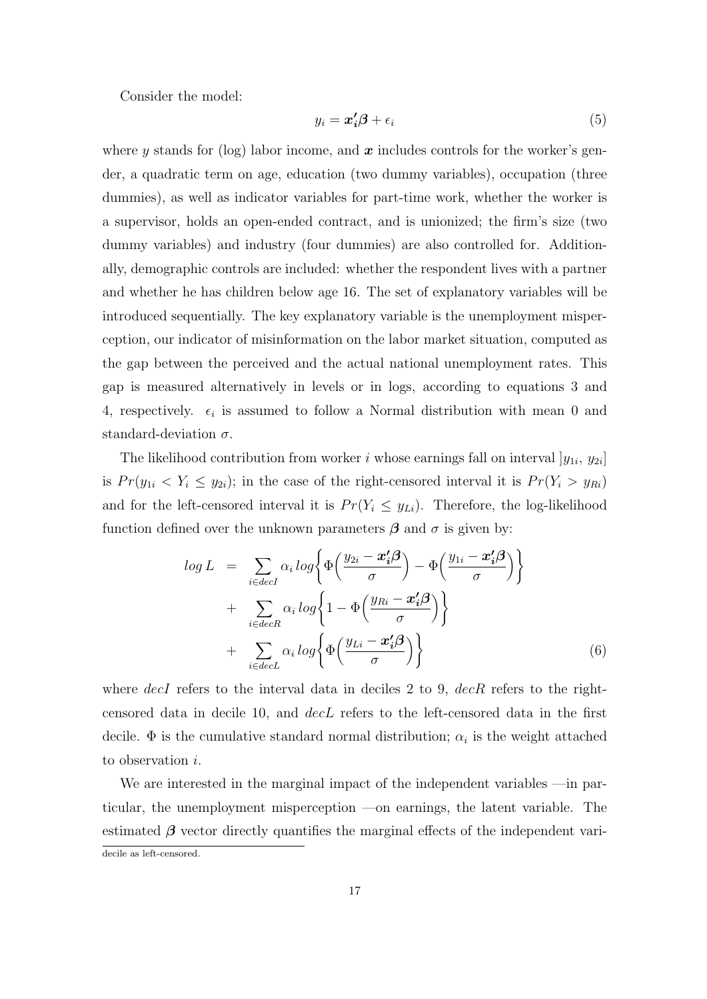Consider the model:

$$
y_i = \mathbf{x}'_i \mathbf{\beta} + \epsilon_i \tag{5}
$$

where  $\gamma$  stands for (log) labor income, and  $\boldsymbol{x}$  includes controls for the worker's gender, a quadratic term on age, education (two dummy variables), occupation (three dummies), as well as indicator variables for part-time work, whether the worker is a supervisor, holds an open-ended contract, and is unionized; the firm's size (two dummy variables) and industry (four dummies) are also controlled for. Additionally, demographic controls are included: whether the respondent lives with a partner and whether he has children below age 16. The set of explanatory variables will be introduced sequentially. The key explanatory variable is the unemployment misperception, our indicator of misinformation on the labor market situation, computed as the gap between the perceived and the actual national unemployment rates. This gap is measured alternatively in levels or in logs, according to equations 3 and 4, respectively.  $\epsilon_i$  is assumed to follow a Normal distribution with mean 0 and standard-deviation *σ*.

The likelihood contribution from worker *i* whose earnings fall on interval  $y_{1i}$ ,  $y_{2i}$ is  $Pr(y_{1i} < Y_i \le y_{2i})$ ; in the case of the right-censored interval it is  $Pr(Y_i > y_{Ri})$ and for the left-censored interval it is  $Pr(Y_i \leq y_{Li})$ . Therefore, the log-likelihood function defined over the unknown parameters  $\beta$  and  $\sigma$  is given by:

$$
log L = \sum_{i \in decI} \alpha_i log \left\{ \Phi \left( \frac{y_{2i} - x'_i \beta}{\sigma} \right) - \Phi \left( \frac{y_{1i} - x'_i \beta}{\sigma} \right) \right\} + \sum_{i \in decR} \alpha_i log \left\{ 1 - \Phi \left( \frac{y_{Ri} - x'_i \beta}{\sigma} \right) \right\} + \sum_{i \in decL} \alpha_i log \left\{ \Phi \left( \frac{y_{Li} - x'_i \beta}{\sigma} \right) \right\}
$$
(6)

where *decI* refers to the interval data in deciles 2 to 9, *decR* refers to the rightcensored data in decile 10, and *decL* refers to the left-censored data in the first decile.  $\Phi$  is the cumulative standard normal distribution;  $\alpha_i$  is the weight attached to observation *i*.

We are interested in the marginal impact of the independent variables —in particular, the unemployment misperception —on earnings, the latent variable. The estimated  $\beta$  vector directly quantifies the marginal effects of the independent varidecile as left-censored.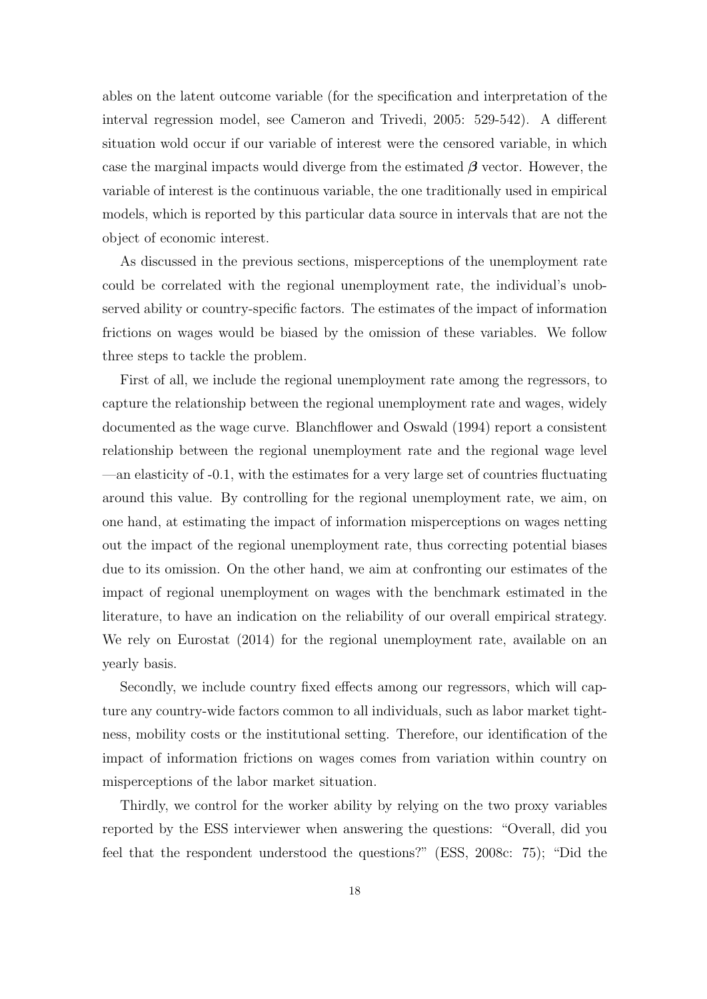ables on the latent outcome variable (for the specification and interpretation of the interval regression model, see Cameron and Trivedi, 2005: 529-542). A different situation wold occur if our variable of interest were the censored variable, in which case the marginal impacts would diverge from the estimated  $\beta$  vector. However, the variable of interest is the continuous variable, the one traditionally used in empirical models, which is reported by this particular data source in intervals that are not the object of economic interest.

As discussed in the previous sections, misperceptions of the unemployment rate could be correlated with the regional unemployment rate, the individual's unobserved ability or country-specific factors. The estimates of the impact of information frictions on wages would be biased by the omission of these variables. We follow three steps to tackle the problem.

First of all, we include the regional unemployment rate among the regressors, to capture the relationship between the regional unemployment rate and wages, widely documented as the wage curve. Blanchflower and Oswald (1994) report a consistent relationship between the regional unemployment rate and the regional wage level —an elasticity of -0.1, with the estimates for a very large set of countries fluctuating around this value. By controlling for the regional unemployment rate, we aim, on one hand, at estimating the impact of information misperceptions on wages netting out the impact of the regional unemployment rate, thus correcting potential biases due to its omission. On the other hand, we aim at confronting our estimates of the impact of regional unemployment on wages with the benchmark estimated in the literature, to have an indication on the reliability of our overall empirical strategy. We rely on Eurostat (2014) for the regional unemployment rate, available on an yearly basis.

Secondly, we include country fixed effects among our regressors, which will capture any country-wide factors common to all individuals, such as labor market tightness, mobility costs or the institutional setting. Therefore, our identification of the impact of information frictions on wages comes from variation within country on misperceptions of the labor market situation.

Thirdly, we control for the worker ability by relying on the two proxy variables reported by the ESS interviewer when answering the questions: "Overall, did you feel that the respondent understood the questions?" (ESS, 2008c: 75); "Did the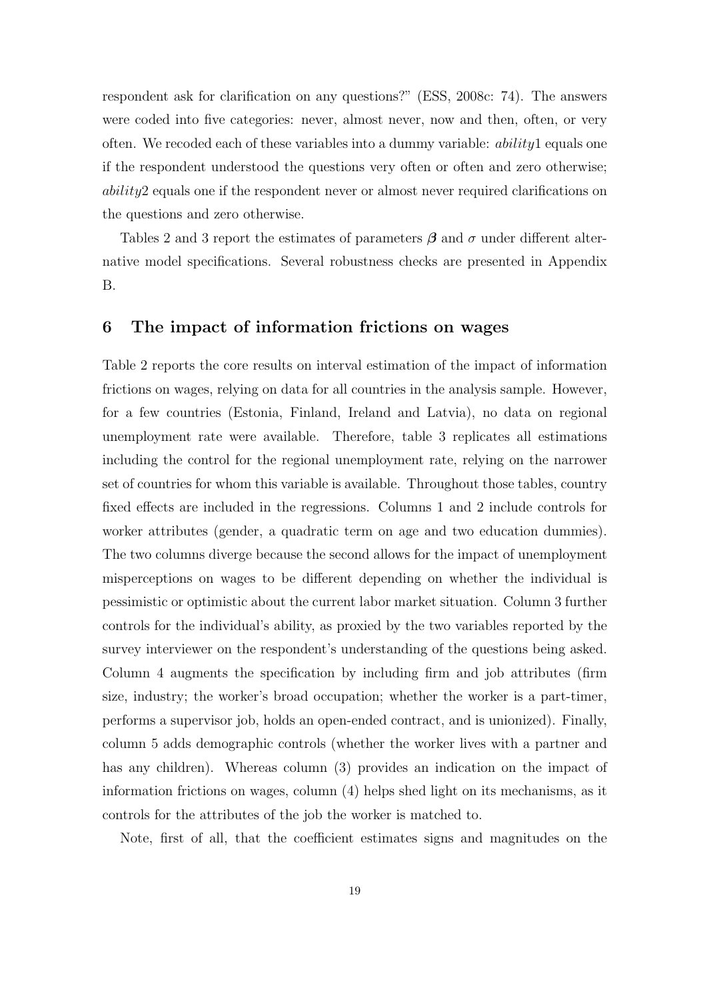respondent ask for clarification on any questions?" (ESS, 2008c: 74). The answers were coded into five categories: never, almost never, now and then, often, or very often. We recoded each of these variables into a dummy variable: *ability*1 equals one if the respondent understood the questions very often or often and zero otherwise; *ability*2 equals one if the respondent never or almost never required clarifications on the questions and zero otherwise.

Tables 2 and 3 report the estimates of parameters *β* and *σ* under different alternative model specifications. Several robustness checks are presented in Appendix B.

## **6 The impact of information frictions on wages**

Table 2 reports the core results on interval estimation of the impact of information frictions on wages, relying on data for all countries in the analysis sample. However, for a few countries (Estonia, Finland, Ireland and Latvia), no data on regional unemployment rate were available. Therefore, table 3 replicates all estimations including the control for the regional unemployment rate, relying on the narrower set of countries for whom this variable is available. Throughout those tables, country fixed effects are included in the regressions. Columns 1 and 2 include controls for worker attributes (gender, a quadratic term on age and two education dummies). The two columns diverge because the second allows for the impact of unemployment misperceptions on wages to be different depending on whether the individual is pessimistic or optimistic about the current labor market situation. Column 3 further controls for the individual's ability, as proxied by the two variables reported by the survey interviewer on the respondent's understanding of the questions being asked. Column 4 augments the specification by including firm and job attributes (firm size, industry; the worker's broad occupation; whether the worker is a part-timer, performs a supervisor job, holds an open-ended contract, and is unionized). Finally, column 5 adds demographic controls (whether the worker lives with a partner and has any children). Whereas column (3) provides an indication on the impact of information frictions on wages, column (4) helps shed light on its mechanisms, as it controls for the attributes of the job the worker is matched to.

Note, first of all, that the coefficient estimates signs and magnitudes on the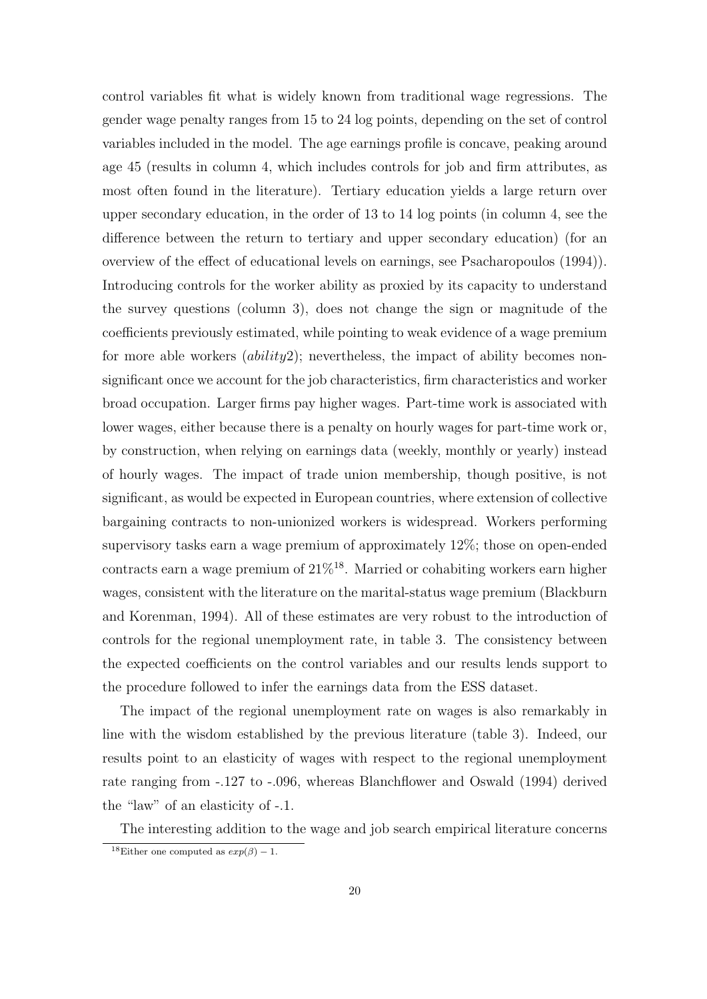control variables fit what is widely known from traditional wage regressions. The gender wage penalty ranges from 15 to 24 log points, depending on the set of control variables included in the model. The age earnings profile is concave, peaking around age 45 (results in column 4, which includes controls for job and firm attributes, as most often found in the literature). Tertiary education yields a large return over upper secondary education, in the order of 13 to 14 log points (in column 4, see the difference between the return to tertiary and upper secondary education) (for an overview of the effect of educational levels on earnings, see Psacharopoulos (1994)). Introducing controls for the worker ability as proxied by its capacity to understand the survey questions (column 3), does not change the sign or magnitude of the coefficients previously estimated, while pointing to weak evidence of a wage premium for more able workers (*ability*2); nevertheless, the impact of ability becomes nonsignificant once we account for the job characteristics, firm characteristics and worker broad occupation. Larger firms pay higher wages. Part-time work is associated with lower wages, either because there is a penalty on hourly wages for part-time work or, by construction, when relying on earnings data (weekly, monthly or yearly) instead of hourly wages. The impact of trade union membership, though positive, is not significant, as would be expected in European countries, where extension of collective bargaining contracts to non-unionized workers is widespread. Workers performing supervisory tasks earn a wage premium of approximately 12%; those on open-ended contracts earn a wage premium of  $21\%^{18}$ . Married or cohabiting workers earn higher wages, consistent with the literature on the marital-status wage premium (Blackburn and Korenman, 1994). All of these estimates are very robust to the introduction of controls for the regional unemployment rate, in table 3. The consistency between the expected coefficients on the control variables and our results lends support to the procedure followed to infer the earnings data from the ESS dataset.

The impact of the regional unemployment rate on wages is also remarkably in line with the wisdom established by the previous literature (table 3). Indeed, our results point to an elasticity of wages with respect to the regional unemployment rate ranging from -.127 to -.096, whereas Blanchflower and Oswald (1994) derived the "law" of an elasticity of -.1.

The interesting addition to the wage and job search empirical literature concerns

<sup>&</sup>lt;sup>18</sup>Either one computed as  $exp(\beta) - 1$ .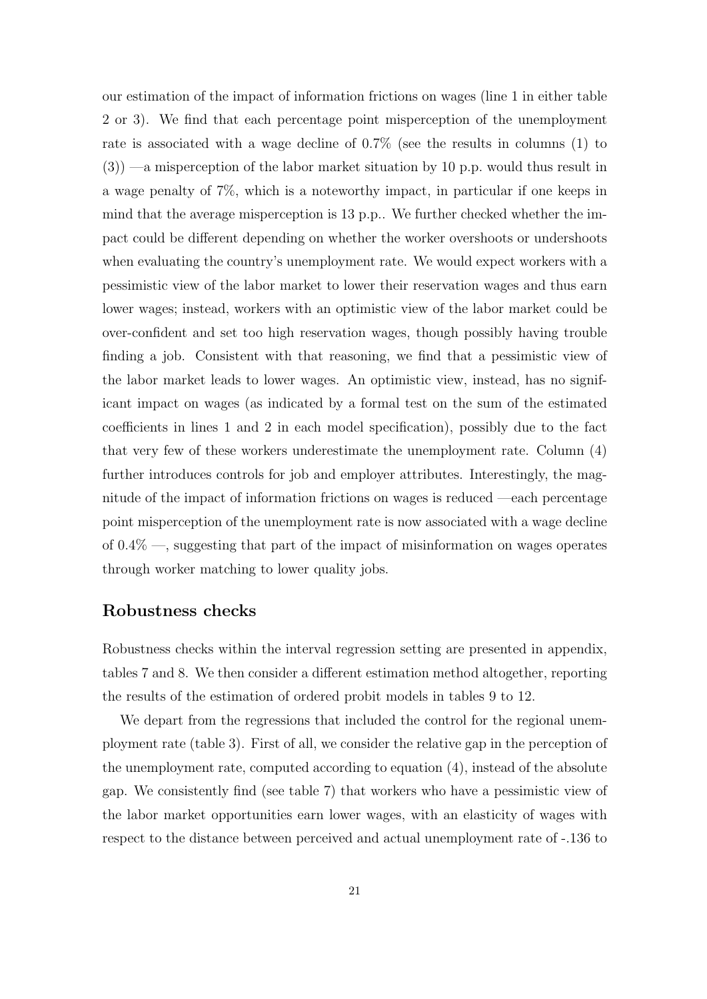our estimation of the impact of information frictions on wages (line 1 in either table 2 or 3). We find that each percentage point misperception of the unemployment rate is associated with a wage decline of 0.7% (see the results in columns (1) to (3)) —a misperception of the labor market situation by 10 p.p. would thus result in a wage penalty of 7%, which is a noteworthy impact, in particular if one keeps in mind that the average misperception is 13 p.p.. We further checked whether the impact could be different depending on whether the worker overshoots or undershoots when evaluating the country's unemployment rate. We would expect workers with a pessimistic view of the labor market to lower their reservation wages and thus earn lower wages; instead, workers with an optimistic view of the labor market could be over-confident and set too high reservation wages, though possibly having trouble finding a job. Consistent with that reasoning, we find that a pessimistic view of the labor market leads to lower wages. An optimistic view, instead, has no significant impact on wages (as indicated by a formal test on the sum of the estimated coefficients in lines 1 and 2 in each model specification), possibly due to the fact that very few of these workers underestimate the unemployment rate. Column (4) further introduces controls for job and employer attributes. Interestingly, the magnitude of the impact of information frictions on wages is reduced —each percentage point misperception of the unemployment rate is now associated with a wage decline of 0.4% —, suggesting that part of the impact of misinformation on wages operates through worker matching to lower quality jobs.

# **Robustness checks**

Robustness checks within the interval regression setting are presented in appendix, tables 7 and 8. We then consider a different estimation method altogether, reporting the results of the estimation of ordered probit models in tables 9 to 12.

We depart from the regressions that included the control for the regional unemployment rate (table 3). First of all, we consider the relative gap in the perception of the unemployment rate, computed according to equation (4), instead of the absolute gap. We consistently find (see table 7) that workers who have a pessimistic view of the labor market opportunities earn lower wages, with an elasticity of wages with respect to the distance between perceived and actual unemployment rate of -.136 to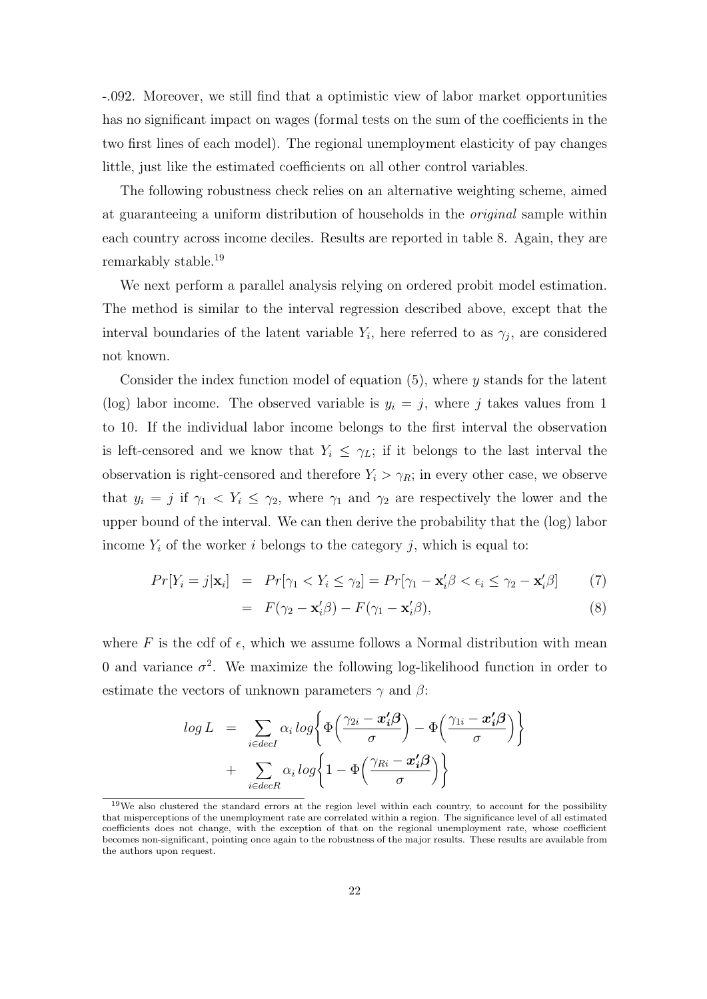-.092. Moreover, we still find that a optimistic view of labor market opportunities has no significant impact on wages (formal tests on the sum of the coefficients in the two first lines of each model). The regional unemployment elasticity of pay changes little, just like the estimated coefficients on all other control variables.

The following robustness check relies on an alternative weighting scheme, aimed at guaranteeing a uniform distribution of households in the *original* sample within each country across income deciles. Results are reported in table 8. Again, they are remarkably stable.<sup>19</sup>

We next perform a parallel analysis relying on ordered probit model estimation. The method is similar to the interval regression described above, except that the interval boundaries of the latent variable  $Y_i$ , here referred to as  $\gamma_j$ , are considered not known.

Consider the index function model of equation (5), where *y* stands for the latent (log) labor income. The observed variable is  $y_i = j$ , where j takes values from 1 to 10. If the individual labor income belongs to the first interval the observation is left-censored and we know that  $Y_i \leq \gamma_L$ ; if it belongs to the last interval the observation is right-censored and therefore  $Y_i > \gamma_R$ ; in every other case, we observe that  $y_i = j$  if  $\gamma_1 < Y_i \leq \gamma_2$ , where  $\gamma_1$  and  $\gamma_2$  are respectively the lower and the upper bound of the interval. We can then derive the probability that the (log) labor income  $Y_i$  of the worker *i* belongs to the category *j*, which is equal to:

$$
Pr[Y_i = j | \mathbf{x}_i] = Pr[\gamma_1 < Y_i \le \gamma_2] = Pr[\gamma_1 - \mathbf{x}_i' \beta < \epsilon_i \le \gamma_2 - \mathbf{x}_i' \beta] \tag{7}
$$

$$
= F(\gamma_2 - \mathbf{x}_i'\boldsymbol{\beta}) - F(\gamma_1 - \mathbf{x}_i'\boldsymbol{\beta}), \tag{8}
$$

where  $F$  is the cdf of  $\epsilon$ , which we assume follows a Normal distribution with mean 0 and variance  $\sigma^2$ . We maximize the following log-likelihood function in order to estimate the vectors of unknown parameters  $\gamma$  and  $\beta$ :

$$
log L = \sum_{i \in decI} \alpha_i log \left\{ \Phi \left( \frac{\gamma_{2i} - x'_i \beta}{\sigma} \right) - \Phi \left( \frac{\gamma_{1i} - x'_i \beta}{\sigma} \right) \right\}
$$

$$
+ \sum_{i \in decR} \alpha_i log \left\{ 1 - \Phi \left( \frac{\gamma_{Ri} - x'_i \beta}{\sigma} \right) \right\}
$$

<sup>&</sup>lt;sup>19</sup>We also clustered the standard errors at the region level within each country, to account for the possibility that misperceptions of the unemployment rate are correlated within a region. The significance level of all estimated coefficients does not change, with the exception of that on the regional unemployment rate, whose coefficient becomes non-significant, pointing once again to the robustness of the major results. These results are available from the authors upon request.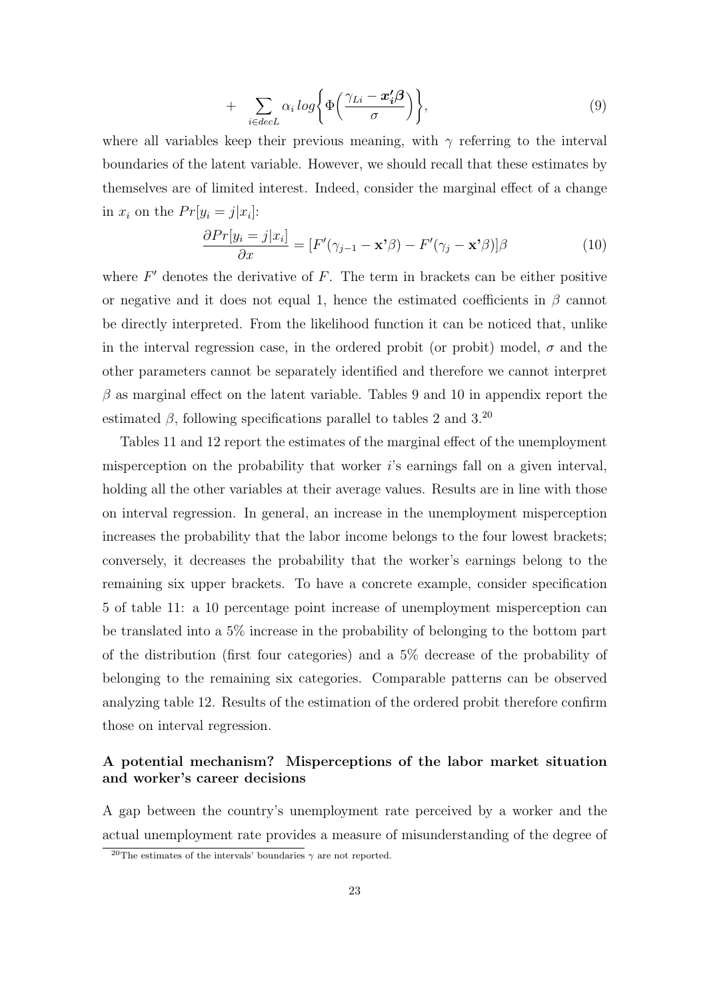$$
+\sum_{i \in decL} \alpha_i \log \bigg\{ \Phi \bigg( \frac{\gamma_{Li} - x_i' \beta}{\sigma} \bigg) \bigg\},\tag{9}
$$

where all variables keep their previous meaning, with  $\gamma$  referring to the interval boundaries of the latent variable. However, we should recall that these estimates by themselves are of limited interest. Indeed, consider the marginal effect of a change in  $x_i$  on the  $Pr[y_i = j | x_i]$ :

$$
\frac{\partial Pr[y_i = j|x_i]}{\partial x} = [F'(\gamma_{j-1} - \mathbf{x}^*\boldsymbol{\beta}) - F'(\gamma_j - \mathbf{x}^*\boldsymbol{\beta})]\boldsymbol{\beta}
$$
(10)

where  $F'$  denotes the derivative of  $F$ . The term in brackets can be either positive or negative and it does not equal 1, hence the estimated coefficients in  $\beta$  cannot be directly interpreted. From the likelihood function it can be noticed that, unlike in the interval regression case, in the ordered probit (or probit) model,  $\sigma$  and the other parameters cannot be separately identified and therefore we cannot interpret  $\beta$  as marginal effect on the latent variable. Tables 9 and 10 in appendix report the estimated  $\beta$ , following specifications parallel to tables 2 and 3.<sup>20</sup>

Tables 11 and 12 report the estimates of the marginal effect of the unemployment misperception on the probability that worker *i*'s earnings fall on a given interval, holding all the other variables at their average values. Results are in line with those on interval regression. In general, an increase in the unemployment misperception increases the probability that the labor income belongs to the four lowest brackets; conversely, it decreases the probability that the worker's earnings belong to the remaining six upper brackets. To have a concrete example, consider specification 5 of table 11: a 10 percentage point increase of unemployment misperception can be translated into a 5% increase in the probability of belonging to the bottom part of the distribution (first four categories) and a 5% decrease of the probability of belonging to the remaining six categories. Comparable patterns can be observed analyzing table 12. Results of the estimation of the ordered probit therefore confirm those on interval regression.

## **A potential mechanism? Misperceptions of the labor market situation and worker's career decisions**

A gap between the country's unemployment rate perceived by a worker and the actual unemployment rate provides a measure of misunderstanding of the degree of

<sup>&</sup>lt;sup>20</sup>The estimates of the intervals' boundaries  $\gamma$  are not reported.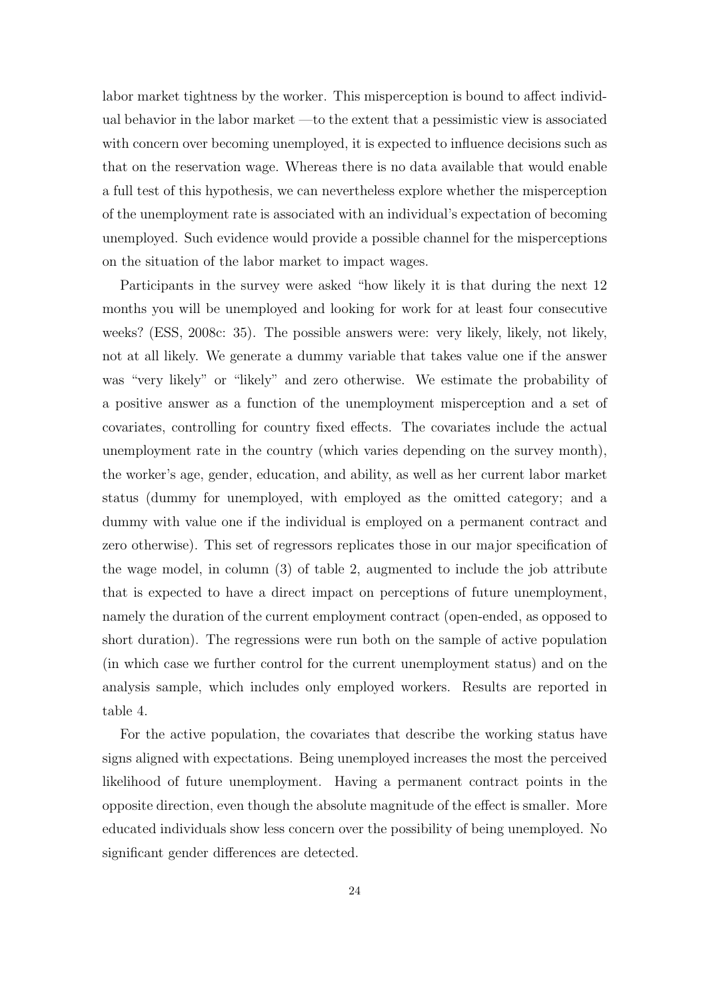labor market tightness by the worker. This misperception is bound to affect individual behavior in the labor market —to the extent that a pessimistic view is associated with concern over becoming unemployed, it is expected to influence decisions such as that on the reservation wage. Whereas there is no data available that would enable a full test of this hypothesis, we can nevertheless explore whether the misperception of the unemployment rate is associated with an individual's expectation of becoming unemployed. Such evidence would provide a possible channel for the misperceptions on the situation of the labor market to impact wages.

Participants in the survey were asked "how likely it is that during the next 12 months you will be unemployed and looking for work for at least four consecutive weeks? (ESS, 2008c: 35). The possible answers were: very likely, likely, not likely, not at all likely. We generate a dummy variable that takes value one if the answer was "very likely" or "likely" and zero otherwise. We estimate the probability of a positive answer as a function of the unemployment misperception and a set of covariates, controlling for country fixed effects. The covariates include the actual unemployment rate in the country (which varies depending on the survey month), the worker's age, gender, education, and ability, as well as her current labor market status (dummy for unemployed, with employed as the omitted category; and a dummy with value one if the individual is employed on a permanent contract and zero otherwise). This set of regressors replicates those in our major specification of the wage model, in column (3) of table 2, augmented to include the job attribute that is expected to have a direct impact on perceptions of future unemployment, namely the duration of the current employment contract (open-ended, as opposed to short duration). The regressions were run both on the sample of active population (in which case we further control for the current unemployment status) and on the analysis sample, which includes only employed workers. Results are reported in table 4.

For the active population, the covariates that describe the working status have signs aligned with expectations. Being unemployed increases the most the perceived likelihood of future unemployment. Having a permanent contract points in the opposite direction, even though the absolute magnitude of the effect is smaller. More educated individuals show less concern over the possibility of being unemployed. No significant gender differences are detected.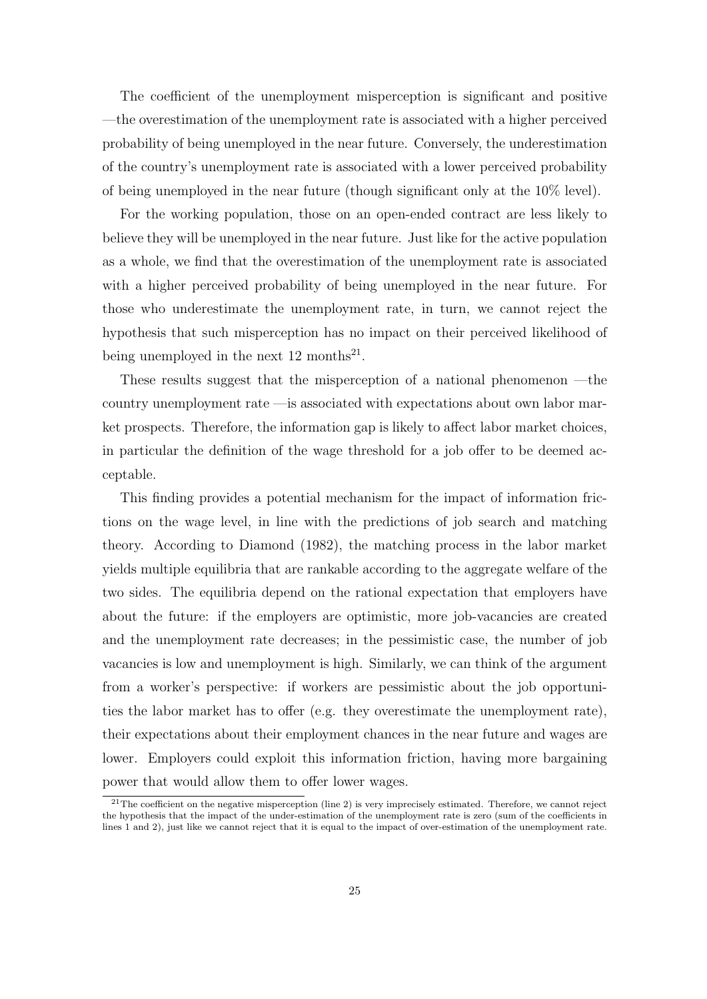The coefficient of the unemployment misperception is significant and positive —the overestimation of the unemployment rate is associated with a higher perceived probability of being unemployed in the near future. Conversely, the underestimation of the country's unemployment rate is associated with a lower perceived probability of being unemployed in the near future (though significant only at the 10% level).

For the working population, those on an open-ended contract are less likely to believe they will be unemployed in the near future. Just like for the active population as a whole, we find that the overestimation of the unemployment rate is associated with a higher perceived probability of being unemployed in the near future. For those who underestimate the unemployment rate, in turn, we cannot reject the hypothesis that such misperception has no impact on their perceived likelihood of being unemployed in the next  $12$  months<sup>21</sup>.

These results suggest that the misperception of a national phenomenon —the country unemployment rate —is associated with expectations about own labor market prospects. Therefore, the information gap is likely to affect labor market choices, in particular the definition of the wage threshold for a job offer to be deemed acceptable.

This finding provides a potential mechanism for the impact of information frictions on the wage level, in line with the predictions of job search and matching theory. According to Diamond (1982), the matching process in the labor market yields multiple equilibria that are rankable according to the aggregate welfare of the two sides. The equilibria depend on the rational expectation that employers have about the future: if the employers are optimistic, more job-vacancies are created and the unemployment rate decreases; in the pessimistic case, the number of job vacancies is low and unemployment is high. Similarly, we can think of the argument from a worker's perspective: if workers are pessimistic about the job opportunities the labor market has to offer (e.g. they overestimate the unemployment rate), their expectations about their employment chances in the near future and wages are lower. Employers could exploit this information friction, having more bargaining power that would allow them to offer lower wages.

 $21$ The coefficient on the negative misperception (line 2) is very imprecisely estimated. Therefore, we cannot reject the hypothesis that the impact of the under-estimation of the unemployment rate is zero (sum of the coefficients in lines 1 and 2), just like we cannot reject that it is equal to the impact of over-estimation of the unemployment rate.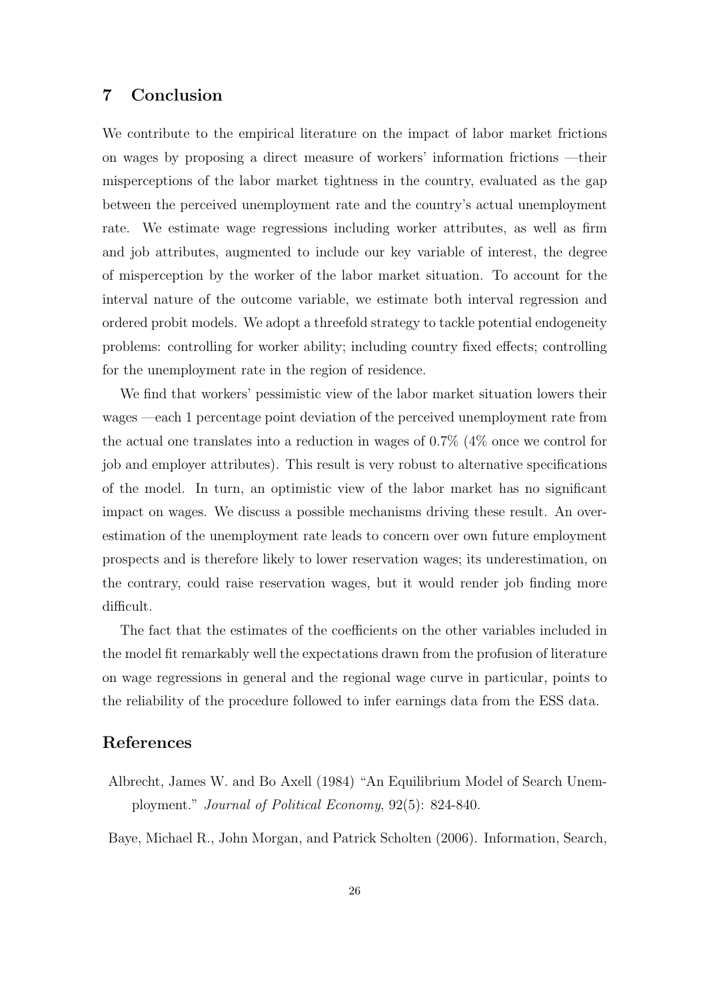## **7 Conclusion**

We contribute to the empirical literature on the impact of labor market frictions on wages by proposing a direct measure of workers' information frictions —their misperceptions of the labor market tightness in the country, evaluated as the gap between the perceived unemployment rate and the country's actual unemployment rate. We estimate wage regressions including worker attributes, as well as firm and job attributes, augmented to include our key variable of interest, the degree of misperception by the worker of the labor market situation. To account for the interval nature of the outcome variable, we estimate both interval regression and ordered probit models. We adopt a threefold strategy to tackle potential endogeneity problems: controlling for worker ability; including country fixed effects; controlling for the unemployment rate in the region of residence.

We find that workers' pessimistic view of the labor market situation lowers their wages —each 1 percentage point deviation of the perceived unemployment rate from the actual one translates into a reduction in wages of 0.7% (4% once we control for job and employer attributes). This result is very robust to alternative specifications of the model. In turn, an optimistic view of the labor market has no significant impact on wages. We discuss a possible mechanisms driving these result. An overestimation of the unemployment rate leads to concern over own future employment prospects and is therefore likely to lower reservation wages; its underestimation, on the contrary, could raise reservation wages, but it would render job finding more difficult.

The fact that the estimates of the coefficients on the other variables included in the model fit remarkably well the expectations drawn from the profusion of literature on wage regressions in general and the regional wage curve in particular, points to the reliability of the procedure followed to infer earnings data from the ESS data.

## **References**

Albrecht, James W. and Bo Axell (1984) "An Equilibrium Model of Search Unemployment." *Journal of Political Economy*, 92(5): 824-840.

Baye, Michael R., John Morgan, and Patrick Scholten (2006). Information, Search,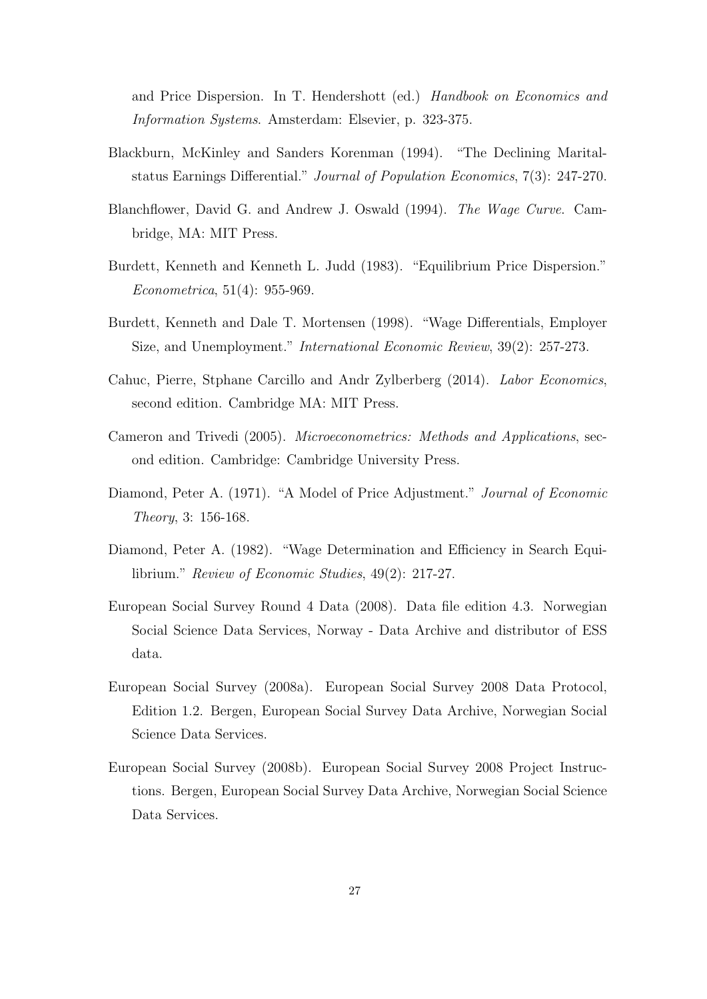and Price Dispersion. In T. Hendershott (ed.) *Handbook on Economics and Information Systems*. Amsterdam: Elsevier, p. 323-375.

- Blackburn, McKinley and Sanders Korenman (1994). "The Declining Maritalstatus Earnings Differential." *Journal of Population Economics*, 7(3): 247-270.
- Blanchflower, David G. and Andrew J. Oswald (1994). *The Wage Curve*. Cambridge, MA: MIT Press.
- Burdett, Kenneth and Kenneth L. Judd (1983). "Equilibrium Price Dispersion." *Econometrica*, 51(4): 955-969.
- Burdett, Kenneth and Dale T. Mortensen (1998). "Wage Differentials, Employer Size, and Unemployment." *International Economic Review*, 39(2): 257-273.
- Cahuc, Pierre, Stphane Carcillo and Andr Zylberberg (2014). *Labor Economics*, second edition. Cambridge MA: MIT Press.
- Cameron and Trivedi (2005). *Microeconometrics: Methods and Applications*, second edition. Cambridge: Cambridge University Press.
- Diamond, Peter A. (1971). "A Model of Price Adjustment." *Journal of Economic Theory*, 3: 156-168.
- Diamond, Peter A. (1982). "Wage Determination and Efficiency in Search Equilibrium." *Review of Economic Studies*, 49(2): 217-27.
- European Social Survey Round 4 Data (2008). Data file edition 4.3. Norwegian Social Science Data Services, Norway - Data Archive and distributor of ESS data.
- European Social Survey (2008a). European Social Survey 2008 Data Protocol, Edition 1.2. Bergen, European Social Survey Data Archive, Norwegian Social Science Data Services.
- European Social Survey (2008b). European Social Survey 2008 Project Instructions. Bergen, European Social Survey Data Archive, Norwegian Social Science Data Services.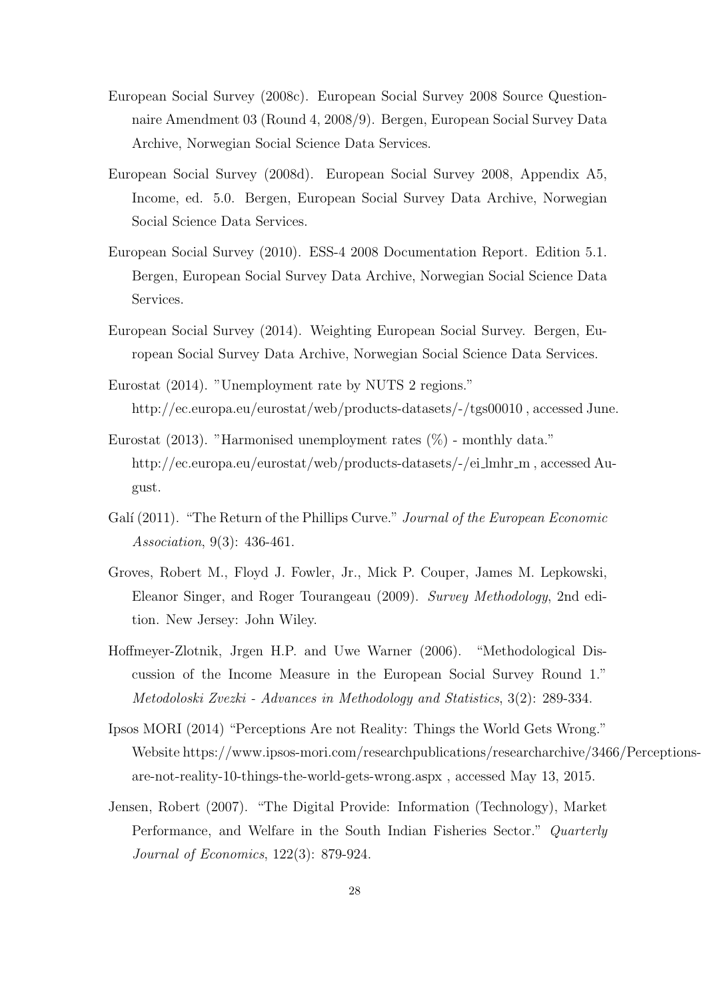- European Social Survey (2008c). European Social Survey 2008 Source Questionnaire Amendment 03 (Round 4, 2008/9). Bergen, European Social Survey Data Archive, Norwegian Social Science Data Services.
- European Social Survey (2008d). European Social Survey 2008, Appendix A5, Income, ed. 5.0. Bergen, European Social Survey Data Archive, Norwegian Social Science Data Services.
- European Social Survey (2010). ESS-4 2008 Documentation Report. Edition 5.1. Bergen, European Social Survey Data Archive, Norwegian Social Science Data Services.
- European Social Survey (2014). Weighting European Social Survey. Bergen, European Social Survey Data Archive, Norwegian Social Science Data Services.
- Eurostat (2014). "Unemployment rate by NUTS 2 regions." http://ec.europa.eu/eurostat/web/products-datasets/-/tgs00010 , accessed June.
- Eurostat (2013). "Harmonised unemployment rates  $(\%)$  monthly data." http://ec.europa.eu/eurostat/web/products-datasets/-/ei\_lmhr\_m, accessed August.
- Galí (2011). "The Return of the Phillips Curve." *Journal of the European Economic Association*, 9(3): 436-461.
- Groves, Robert M., Floyd J. Fowler, Jr., Mick P. Couper, James M. Lepkowski, Eleanor Singer, and Roger Tourangeau (2009). *Survey Methodology*, 2nd edition. New Jersey: John Wiley.
- Hoffmeyer-Zlotnik, Jrgen H.P. and Uwe Warner (2006). "Methodological Discussion of the Income Measure in the European Social Survey Round 1." *Metodoloski Zvezki - Advances in Methodology and Statistics*, 3(2): 289-334.
- Ipsos MORI (2014) "Perceptions Are not Reality: Things the World Gets Wrong." Website https://www.ipsos-mori.com/researchpublications/researcharchive/3466/Perceptionsare-not-reality-10-things-the-world-gets-wrong.aspx , accessed May 13, 2015.
- Jensen, Robert (2007). "The Digital Provide: Information (Technology), Market Performance, and Welfare in the South Indian Fisheries Sector." *Quarterly Journal of Economics*, 122(3): 879-924.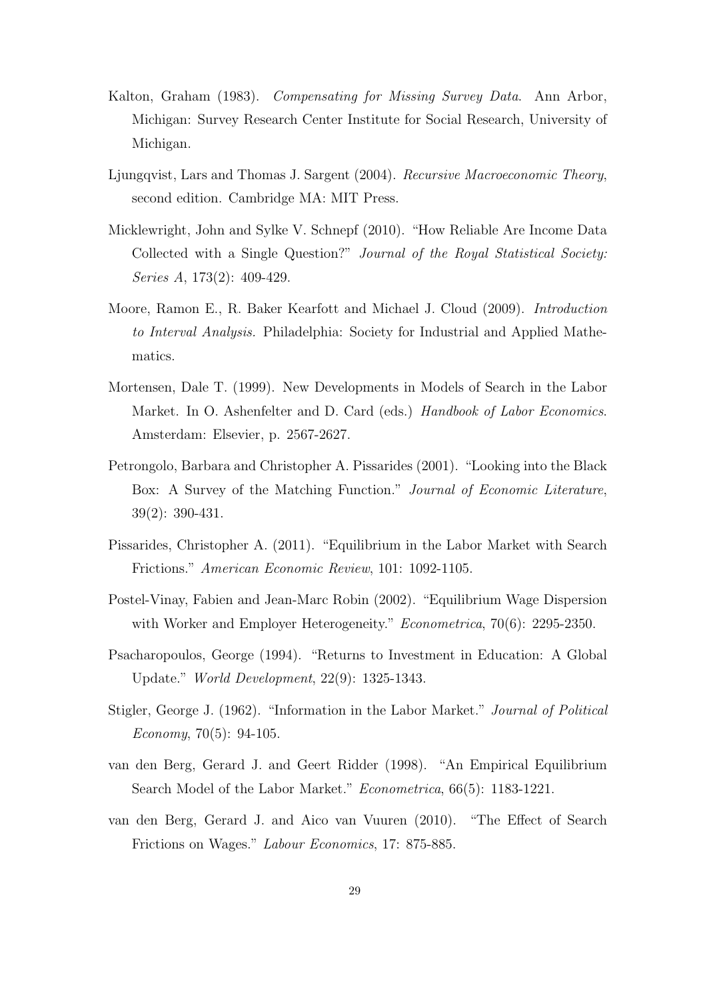- Kalton, Graham (1983). *Compensating for Missing Survey Data*. Ann Arbor, Michigan: Survey Research Center Institute for Social Research, University of Michigan.
- Ljungqvist, Lars and Thomas J. Sargent (2004). *Recursive Macroeconomic Theory*, second edition. Cambridge MA: MIT Press.
- Micklewright, John and Sylke V. Schnepf (2010). "How Reliable Are Income Data Collected with a Single Question?" *Journal of the Royal Statistical Society: Series A*, 173(2): 409-429.
- Moore, Ramon E., R. Baker Kearfott and Michael J. Cloud (2009). *Introduction to Interval Analysis.* Philadelphia: Society for Industrial and Applied Mathematics.
- Mortensen, Dale T. (1999). New Developments in Models of Search in the Labor Market. In O. Ashenfelter and D. Card (eds.) *Handbook of Labor Economics*. Amsterdam: Elsevier, p. 2567-2627.
- Petrongolo, Barbara and Christopher A. Pissarides (2001). "Looking into the Black Box: A Survey of the Matching Function." *Journal of Economic Literature*, 39(2): 390-431.
- Pissarides, Christopher A. (2011). "Equilibrium in the Labor Market with Search Frictions." *American Economic Review*, 101: 1092-1105.
- Postel-Vinay, Fabien and Jean-Marc Robin (2002). "Equilibrium Wage Dispersion with Worker and Employer Heterogeneity." *Econometrica*, 70(6): 2295-2350.
- Psacharopoulos, George (1994). "Returns to Investment in Education: A Global Update." *World Development*, 22(9): 1325-1343.
- Stigler, George J. (1962). "Information in the Labor Market." *Journal of Political Economy*, 70(5): 94-105.
- van den Berg, Gerard J. and Geert Ridder (1998). "An Empirical Equilibrium Search Model of the Labor Market." *Econometrica*, 66(5): 1183-1221.
- van den Berg, Gerard J. and Aico van Vuuren (2010). "The Effect of Search Frictions on Wages." *Labour Economics*, 17: 875-885.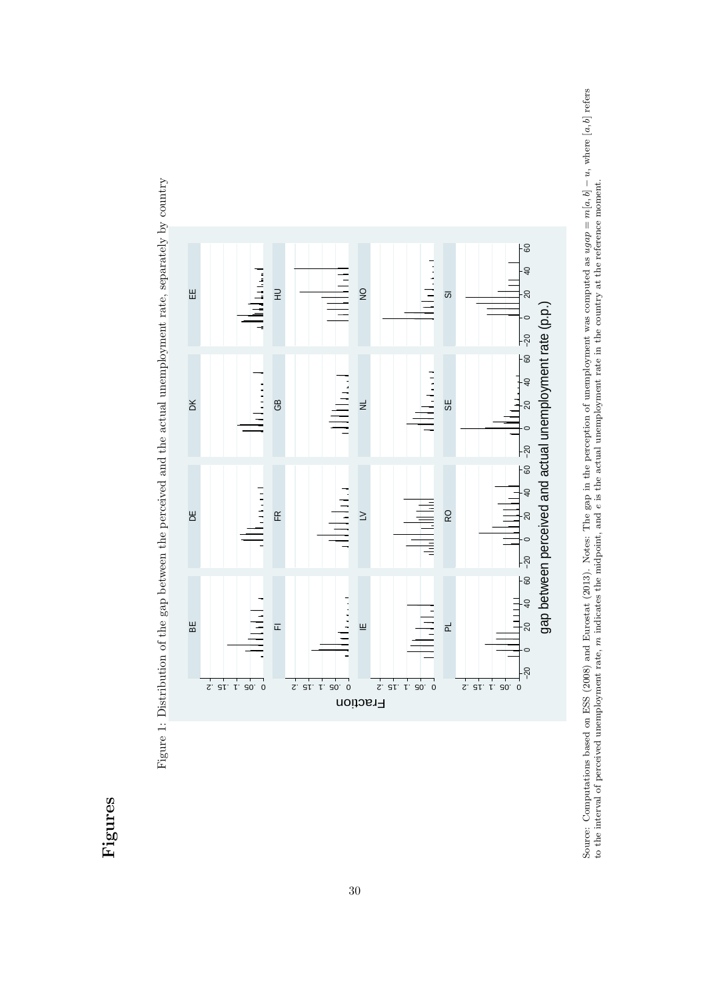# **Figures**

Figure 1: Distribution of the gap between the perceived and the actual unemployment rate, separately by country Figure 1: Distribution of the gap between the perceived and the actual unemployment rate, separately by country



Source: Computations based on ESS (2008) and Eurostat (2013). Notes: The gap in the perception of unemployment was computed as  $ugap = m[a, b] - u$ , where  $[a, b]$  refers to the interval of perceived unemployment rate, m indicates Source: Computations based on ESS (2008) and Eurostat (2013). Notes: The gap in the perception of unemployment was computed as ugap =  $m[a, b]$  - u, where  $[a, b]$  refers to the interval of perceived unemployment rate, *m* indicates the midpoint, and *e* is the actual unemployment rate in the country at the reference moment.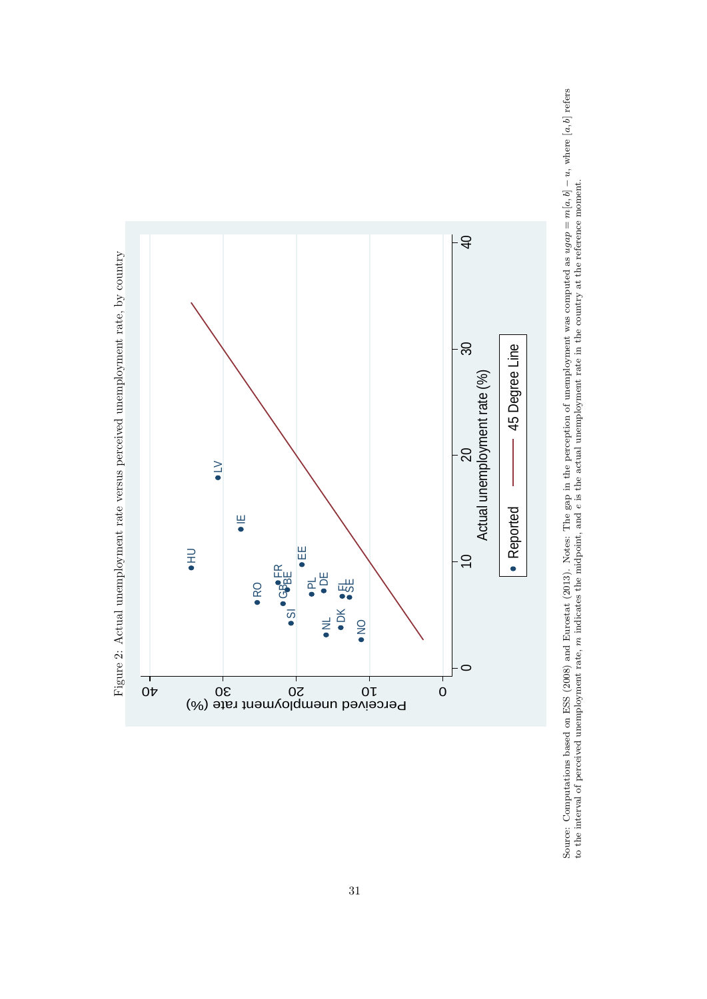

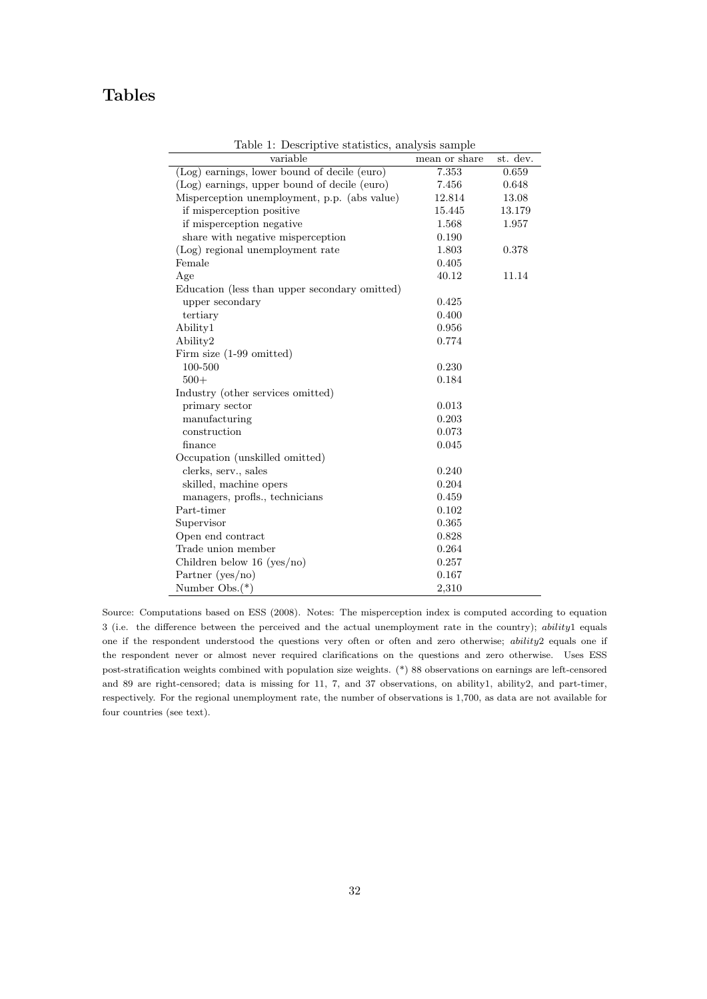# **Tables**

| variable                                      | mean or share | st. dev. |
|-----------------------------------------------|---------------|----------|
| (Log) earnings, lower bound of decile (euro)  | 7.353         | 0.659    |
| (Log) earnings, upper bound of decile (euro)  | 7.456         | 0.648    |
| Misperception unemployment, p.p. (abs value)  | 12.814        | 13.08    |
| if misperception positive                     | 15.445        | 13.179   |
| if misperception negative                     | 1.568         | 1.957    |
| share with negative misperception             | 0.190         |          |
| (Log) regional unemployment rate              | 1.803         | 0.378    |
| Female                                        | 0.405         |          |
| Age                                           | 40.12         | 11.14    |
| Education (less than upper secondary omitted) |               |          |
| upper secondary                               | 0.425         |          |
| tertiary                                      | 0.400         |          |
| Ability1                                      | 0.956         |          |
| Ability2                                      | 0.774         |          |
| Firm size (1-99 omitted)                      |               |          |
| 100-500                                       | 0.230         |          |
| $500+$                                        | 0.184         |          |
| Industry (other services omitted)             |               |          |
| primary sector                                | 0.013         |          |
| manufacturing                                 | 0.203         |          |
| construction                                  | 0.073         |          |
| finance                                       | 0.045         |          |
| Occupation (unskilled omitted)                |               |          |
| clerks, serv., sales                          | 0.240         |          |
| skilled, machine opers                        | 0.204         |          |
| managers, profis., technicians                | 0.459         |          |
| Part-timer                                    | 0.102         |          |
| Supervisor                                    | 0.365         |          |
| Open end contract                             | 0.828         |          |
| Trade union member                            | 0.264         |          |
| Children below $16$ (yes/no)                  | 0.257         |          |
| Partner $(yes/no)$                            | 0.167         |          |
| Number $Obs. (*)$                             | 2.310         |          |

Table 1: Descriptive statistics, analysis sample

Source: Computations based on ESS (2008). Notes: The misperception index is computed according to equation 3 (i.e. the difference between the perceived and the actual unemployment rate in the country); *ability*1 equals one if the respondent understood the questions very often or often and zero otherwise; *ability*2 equals one if the respondent never or almost never required clarifications on the questions and zero otherwise. Uses ESS post-stratification weights combined with population size weights. (\*) 88 observations on earnings are left-censored and 89 are right-censored; data is missing for 11, 7, and 37 observations, on ability1, ability2, and part-timer, respectively. For the regional unemployment rate, the number of observations is 1,700, as data are not available for four countries (see text).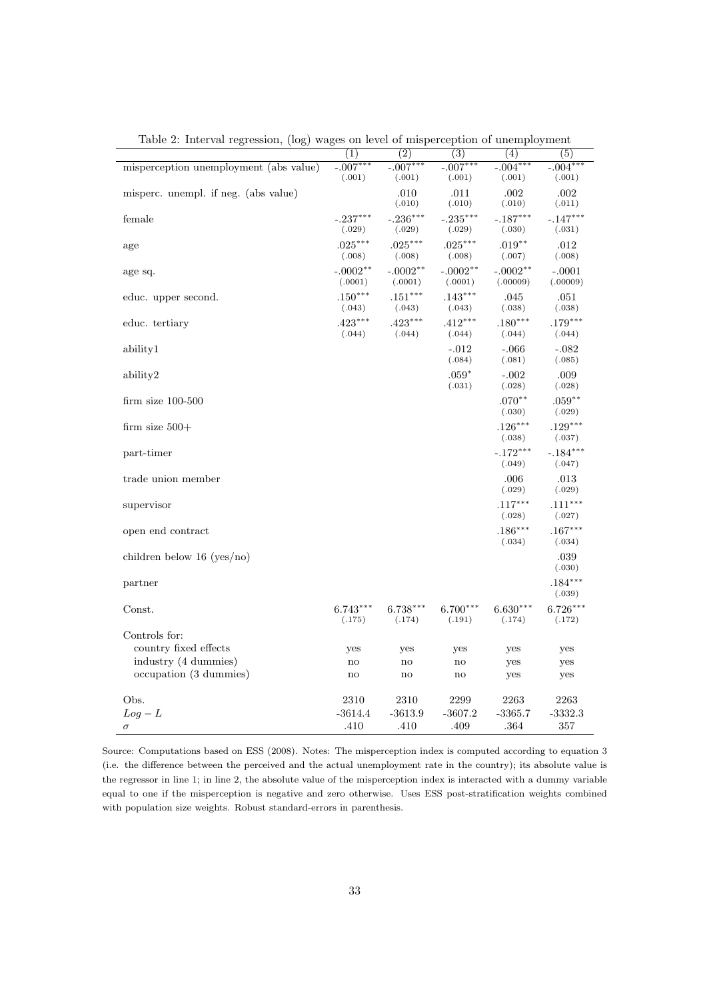|                                        | (1)                   | (2)                   | $\overline{(3)}$      | $\overline{(4)}$       | (5)                  |
|----------------------------------------|-----------------------|-----------------------|-----------------------|------------------------|----------------------|
| misperception unemployment (abs value) | $-.007***$<br>(.001)  | $-.007***$<br>(.001)  | $-.007***$<br>(.001)  | $-.004***$<br>(.001)   | $-.004***$<br>(.001) |
| misperc. unempl. if neg. (abs value)   |                       | .010<br>(.010)        | .011<br>(.010)        | .002<br>(.010)         | .002<br>(.011)       |
| female                                 | $-.237***$<br>(.029)  | $-.236***$<br>(.029)  | $-.235***$<br>(.029)  | $-.187***$<br>(.030)   | $-.147***$<br>(.031) |
| age                                    | $.025***$<br>(.008)   | $.025***$<br>(.008)   | $.025***$<br>(.008)   | $.019**$<br>(.007)     | .012<br>(.008)       |
| age sq.                                | $-.0002**$<br>(.0001) | $-.0002**$<br>(.0001) | $-.0002**$<br>(.0001) | $-.0002**$<br>(.00009) | $-.0001$<br>(.00009) |
| educ. upper second.                    | $.150***$<br>(.043)   | $.151***$<br>(.043)   | $.143***$<br>(.043)   | .045<br>(.038)         | .051<br>(.038)       |
| educ. tertiary                         | $.423***$<br>(.044)   | $.423***$<br>(.044)   | $.412***$<br>(.044)   | $.180***$<br>(.044)    | $.179***$<br>(.044)  |
| ability1                               |                       |                       | $-.012$<br>(.084)     | $-.066$<br>(.081)      | $-.082$<br>(.085)    |
| ability2                               |                       |                       | $.059*$<br>(.031)     | $-.002$<br>(.028)      | .009<br>(.028)       |
| $firm size 100-500$                    |                       |                       |                       | $.070**$<br>(.030)     | $.059***$<br>(.029)  |
| firm size $500+$                       |                       |                       |                       | $.126***$<br>(.038)    | $.129***$<br>(.037)  |
| part-timer                             |                       |                       |                       | $-.172***$<br>(.049)   | $-.184***$<br>(.047) |
| trade union member                     |                       |                       |                       | .006<br>(.029)         | .013<br>(.029)       |
| supervisor                             |                       |                       |                       | $.117***$<br>(.028)    | $.111***$<br>(.027)  |
| open end contract                      |                       |                       |                       | $.186***$<br>(.034)    | $.167***$<br>(.034)  |
| children below 16 (yes/no)             |                       |                       |                       |                        | .039<br>(.030)       |
| partner                                |                       |                       |                       |                        | $.184***$<br>(.039)  |
| Const.                                 | $6.743***$<br>(.175)  | $6.738***$<br>(.174)  | $6.700***$<br>(.191)  | $6.630***$<br>(.174)   | $6.726***$<br>(.172) |
| Controls for:<br>country fixed effects | yes                   | yes                   | yes                   | yes                    | yes                  |
| industry (4 dummies)                   |                       |                       |                       |                        |                      |
| occupation (3 dummies)                 | no<br>no              | $\mathbf{no}$<br>no   | $\rm{no}$<br>no       | yes<br>yes             | yes<br>yes           |
| Obs.                                   | 2310                  | 2310                  | 2299                  | 2263                   | 2263                 |
| $Log - L$                              | $-3614.4$             | $-3613.9$             | $-3607.2$             | $-3365.7$              | $-3332.3$            |
| $\sigma$                               | .410                  | .410                  | .409                  | .364                   | 357                  |

Table 2: Interval regression, (log) wages on level of misperception of unemployment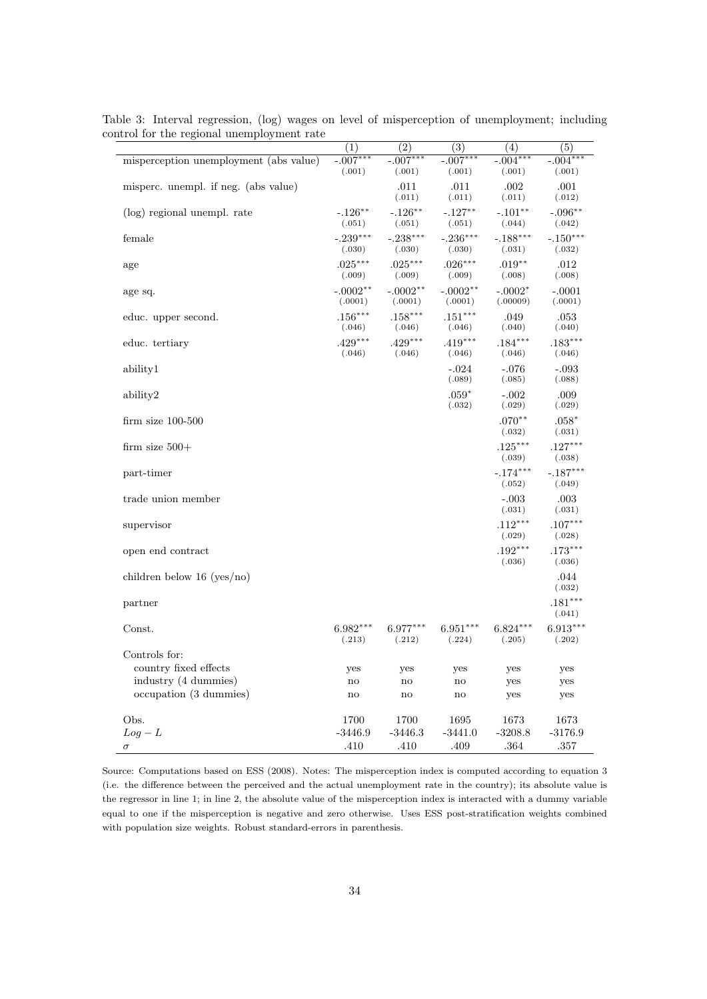|                                        | (1)           | $\overline{(2)}$       | $\overline{(3)}$ | (4)            | $\overline{(5)}$ |
|----------------------------------------|---------------|------------------------|------------------|----------------|------------------|
| misperception unemployment (abs value) | $-.007***$    | $-.007***$             | $-.007***$       | $-.004***$     | $-.004***$       |
|                                        | (.001)        | (.001)                 | (.001)           | (.001)         | (.001)           |
|                                        |               | .011                   | .011             |                | .001             |
| misperc. unempl. if neg. (abs value)   |               | (.011)                 | (.011)           | .002<br>(.011) | (.012)           |
|                                        |               |                        |                  |                |                  |
| (log) regional unempl. rate            | $-.126***$    | $-.126***$             | $-.127**$        | $-.101**$      | $-.096**$        |
|                                        | (.051)        | (.051)                 | (.051)           | (.044)         | (.042)           |
| female                                 | $-.239***$    | $-.238***$             | $-.236***$       | $-.188***$     | $-.150***$       |
|                                        | (.030)        | (.030)                 | (.030)           | (.031)         | (.032)           |
| age                                    | $.025***$     | $.025***$              | $.026***$        | $.019**$       | .012             |
|                                        | (.009)        | (.009)                 | (.009)           | (.008)         | (.008)           |
| age sq.                                | $-.0002**$    | $-.0002**$             | $-.0002**$       | $-.0002*$      | $-.0001$         |
|                                        | (.0001)       | (.0001)                | (.0001)          | (.00009)       | (.0001)          |
| educ. upper second.                    | $.156***$     | $.158***$              | $.151***$        | .049           | .053             |
|                                        | (.046)        | (.046)                 | (.046)           | (.040)         | (.040)           |
| educ. tertiary                         | $.429***$     | $.429***$              | $.419***$        | $.184***$      | $.183***$        |
|                                        | (.046)        | (.046)                 | (.046)           | (.046)         | (.046)           |
| ability1                               |               |                        | $-.024$          | $-.076$        | $-.093$          |
|                                        |               |                        | (.089)           | (.085)         | (.088)           |
|                                        |               |                        |                  |                |                  |
| ability2                               |               |                        | $.059*$          | $-.002$        | .009             |
|                                        |               |                        | (.032)           | (.029)         | (.029)           |
| $firm size 100-500$                    |               |                        |                  | $.070**$       | $.058*$          |
|                                        |               |                        |                  | (.032)         | (.031)           |
| firm size $500+$                       |               |                        |                  | $.125***$      | $.127***$        |
|                                        |               |                        |                  | (.039)         | (.038)           |
| part-timer                             |               |                        |                  | $-.174***$     | $-.187***$       |
|                                        |               |                        |                  | (.052)         | (.049)           |
| trade union member                     |               |                        |                  | $-.003$        | .003             |
|                                        |               |                        |                  | (.031)         | (.031)           |
| supervisor                             |               |                        |                  | $.112***$      | $.107***$        |
|                                        |               |                        |                  | (.029)         | (.028)           |
|                                        |               |                        |                  | $.192***$      | $.173***$        |
| open end contract                      |               |                        |                  | (.036)         | (.036)           |
|                                        |               |                        |                  |                |                  |
| children below $16 \text{ (yes/no)}$   |               |                        |                  |                | .044             |
|                                        |               |                        |                  |                | (.032)           |
| partner                                |               |                        |                  |                | $.181***$        |
|                                        |               |                        |                  |                | (.041)           |
| Const.                                 | $6.982***$    | $6.977***$             | $6.951***$       | $6.824***$     | $6.913***$       |
|                                        | (.213)        | (.212)                 | (.224)           | (.205)         | (.202)           |
| Controls for:                          |               |                        |                  |                |                  |
| country fixed effects                  | yes           | yes                    | yes              | yes            | yes              |
| industry (4 dummies)                   | $\mathbf{no}$ | $\mathbf{n}\mathbf{o}$ | no               | yes            | yes              |
| occupation (3 dummies)                 | $\rm{no}$     | no                     | $\mathbf{n}$     | yes            | yes              |
|                                        |               |                        |                  |                |                  |
| Obs.                                   | 1700          | 1700                   | 1695             | 1673           | 1673             |
|                                        |               |                        |                  |                |                  |
| $Log - L$                              | $-3446.9$     | $-3446.3$              | $-3441.0$        | $-3208.8$      | $-3176.9$        |
| $\sigma$                               | .410          | .410                   | .409             | .364           | .357             |

Table 3: Interval regression, (log) wages on level of misperception of unemployment; including control for the regional unemployment rate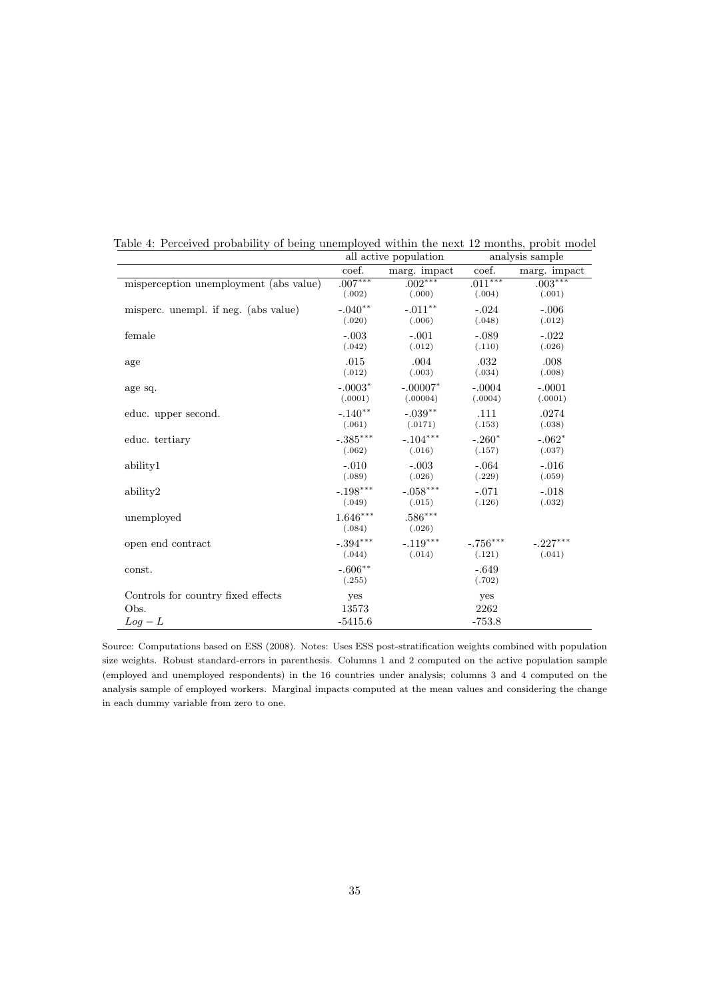|                                        |                      | all active population              | analysis sample      |                      |  |
|----------------------------------------|----------------------|------------------------------------|----------------------|----------------------|--|
|                                        | coef.                | marg. impact                       | coef.                | marg. impact         |  |
| misperception unemployment (abs value) | $.007***$<br>(.002)  | $.002***$<br>(.000)                | $.011***$<br>(.004)  | $.003***$<br>(.001)  |  |
| misperc. unempl. if neg. (abs value)   | $-.040**$<br>(.020)  | $-.011***$<br>(.006)               | $-.024$<br>(.048)    | $-.006$<br>(.012)    |  |
| female                                 | $-.003$<br>(.042)    | $-.001$<br>(.012)                  | $-.089$<br>(.110)    | $-.022$<br>(.026)    |  |
| age                                    | .015<br>(.012)       | .004<br>(.003)                     | .032<br>(.034)       | .008<br>(.008)       |  |
| age sq.                                | (.0001)              | $-.0003^*$ $-.00007^*$<br>(.00004) | $-.0004$<br>(.0004)  | $-.0001$<br>(.0001)  |  |
| educ. upper second.                    | $-.140**$<br>(.061)  | $-.039**$<br>(.0171)               | .111<br>(.153)       | .0274<br>(.038)      |  |
| educ. tertiary                         | (.062)               | $-.385***$ $-.104***$<br>(.016)    | $-.260*$<br>(.157)   | $-.062*$<br>(.037)   |  |
| ability1                               | $-.010$<br>(.089)    | $-.003$<br>(.026)                  | $-.064$<br>(.229)    | $-.016$<br>(.059)    |  |
| ability2                               | $-.198***$<br>(.049) | $-.058***$<br>(.015)               | $-.071$<br>(.126)    | $-.018$<br>(.032)    |  |
| unemployed                             | $1.646***$<br>(.084) | $.586***$<br>(.026)                |                      |                      |  |
| open end contract                      | $-.394***$<br>(.044) | $-.119***$<br>(.014)               | $-.756***$<br>(.121) | $-.227***$<br>(.041) |  |
| const.                                 | $-.606**$<br>(.255)  |                                    | $-.649$<br>(.702)    |                      |  |
| Controls for country fixed effects     | yes                  |                                    | yes                  |                      |  |
| Obs.                                   | 13573                |                                    | 2262                 |                      |  |
| $Log - L$                              | $-5415.6$            |                                    | $-753.8$             |                      |  |

Table 4: Perceived probability of being unemployed within the next 12 months, probit model

Source: Computations based on ESS (2008). Notes: Uses ESS post-stratification weights combined with population size weights. Robust standard-errors in parenthesis. Columns 1 and 2 computed on the active population sample (employed and unemployed respondents) in the 16 countries under analysis; columns 3 and 4 computed on the analysis sample of employed workers. Marginal impacts computed at the mean values and considering the change in each dummy variable from zero to one.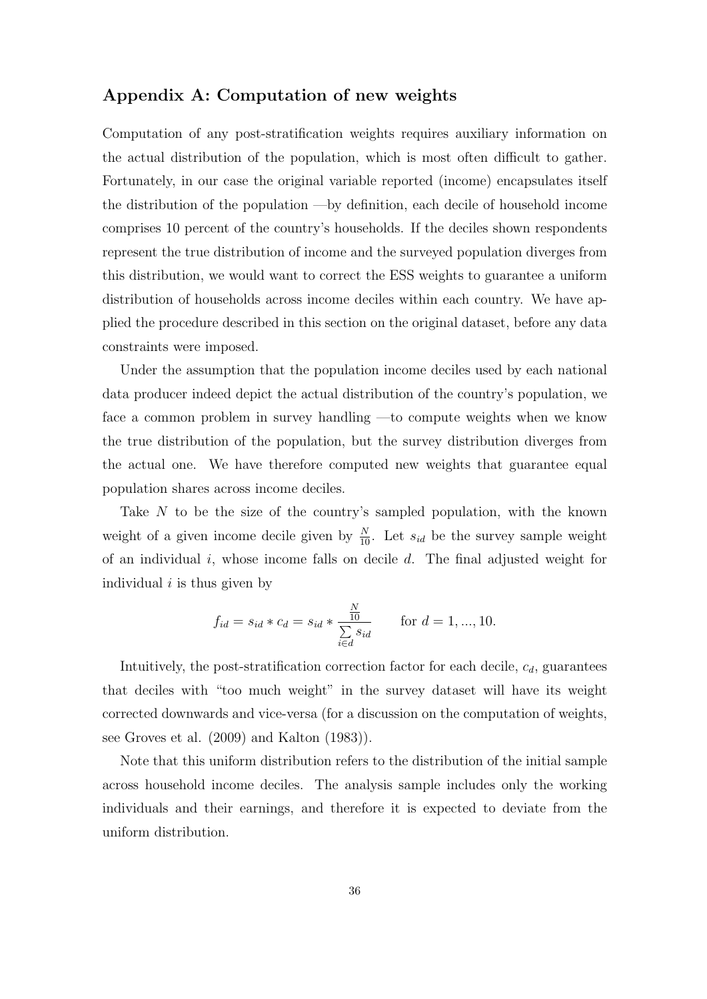# **Appendix A: Computation of new weights**

Computation of any post-stratification weights requires auxiliary information on the actual distribution of the population, which is most often difficult to gather. Fortunately, in our case the original variable reported (income) encapsulates itself the distribution of the population —by definition, each decile of household income comprises 10 percent of the country's households. If the deciles shown respondents represent the true distribution of income and the surveyed population diverges from this distribution, we would want to correct the ESS weights to guarantee a uniform distribution of households across income deciles within each country. We have applied the procedure described in this section on the original dataset, before any data constraints were imposed.

Under the assumption that the population income deciles used by each national data producer indeed depict the actual distribution of the country's population, we face a common problem in survey handling —to compute weights when we know the true distribution of the population, but the survey distribution diverges from the actual one. We have therefore computed new weights that guarantee equal population shares across income deciles.

Take N to be the size of the country's sampled population, with the known weight of a given income decile given by  $\frac{N}{10}$ . Let  $s_{id}$  be the survey sample weight of an individual *i*, whose income falls on decile *d*. The final adjusted weight for individual *i* is thus given by

$$
f_{id} = s_{id} * c_d = s_{id} * \frac{\frac{N}{10}}{\sum_{i \in d} s_{id}}
$$
 for  $d = 1, ..., 10$ .

Intuitively, the post-stratification correction factor for each decile, *cd*, guarantees that deciles with "too much weight" in the survey dataset will have its weight corrected downwards and vice-versa (for a discussion on the computation of weights, see Groves et al. (2009) and Kalton (1983)).

Note that this uniform distribution refers to the distribution of the initial sample across household income deciles. The analysis sample includes only the working individuals and their earnings, and therefore it is expected to deviate from the uniform distribution.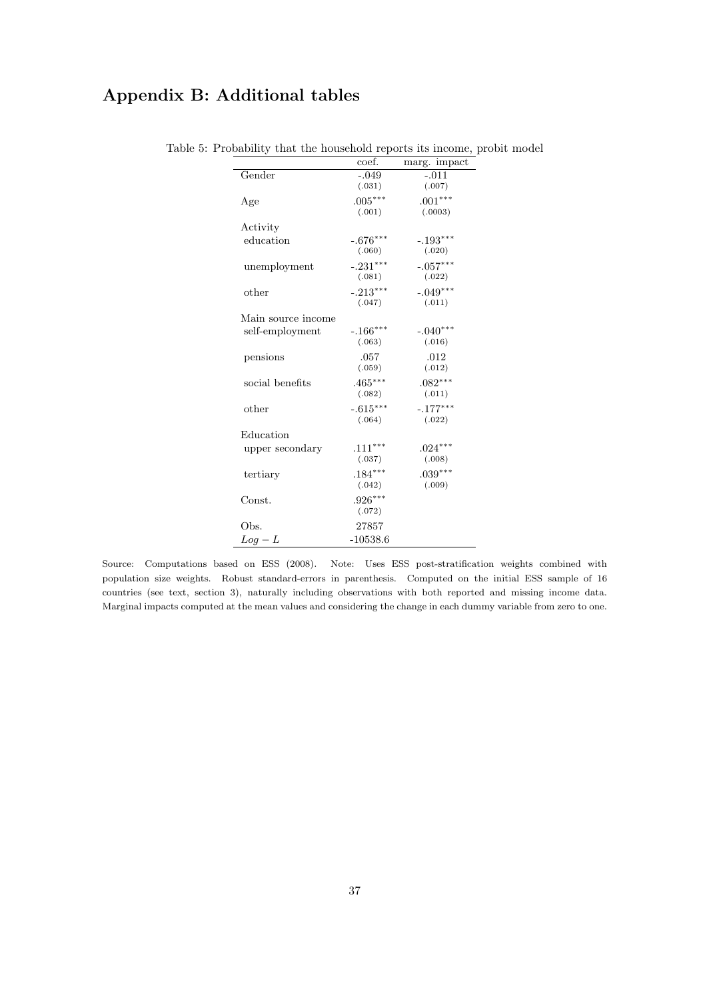# **Appendix B: Additional tables**

|                    | coef.      | marg. impact |
|--------------------|------------|--------------|
| Gender             | $-0.049$   | $-.011$      |
|                    | (.031)     | (.007)       |
| Age                | $.005***$  | $.001***$    |
|                    | (.001)     | (.0003)      |
| Activity           |            |              |
| education          | $-.676***$ | $-.193***$   |
|                    | (.060)     | (.020)       |
| unemployment       | $-.231***$ | $-.057***$   |
|                    | (.081)     | (.022)       |
| other              | $-.213***$ | $-.049***$   |
|                    | (.047)     | (.011)       |
| Main source income |            |              |
| self-employment    | $-.166***$ | $-.040***$   |
|                    | (.063)     | (.016)       |
| pensions           | .057       | .012         |
|                    | (.059)     | (.012)       |
| social benefits    | $.465***$  | $.082***$    |
|                    | (.082)     | (.011)       |
| other              | $-.615***$ | $-.177***$   |
|                    | (.064)     | (.022)       |
| Education          |            |              |
| upper secondary    | $.111***$  | $.024***$    |
|                    | (.037)     | (.008)       |
| tertiary           | $.184***$  | $.039***$    |
|                    | (.042)     | (.009)       |
| Const.             | $.926***$  |              |
|                    | (.072)     |              |
| Obs.               | 27857      |              |
| $Log - L$          | $-10538.6$ |              |

# Table 5: Probability that the household reports its income, probit model

Source: Computations based on ESS (2008). Note: Uses ESS post-stratification weights combined with population size weights. Robust standard-errors in parenthesis. Computed on the initial ESS sample of 16 countries (see text, section 3), naturally including observations with both reported and missing income data. Marginal impacts computed at the mean values and considering the change in each dummy variable from zero to one.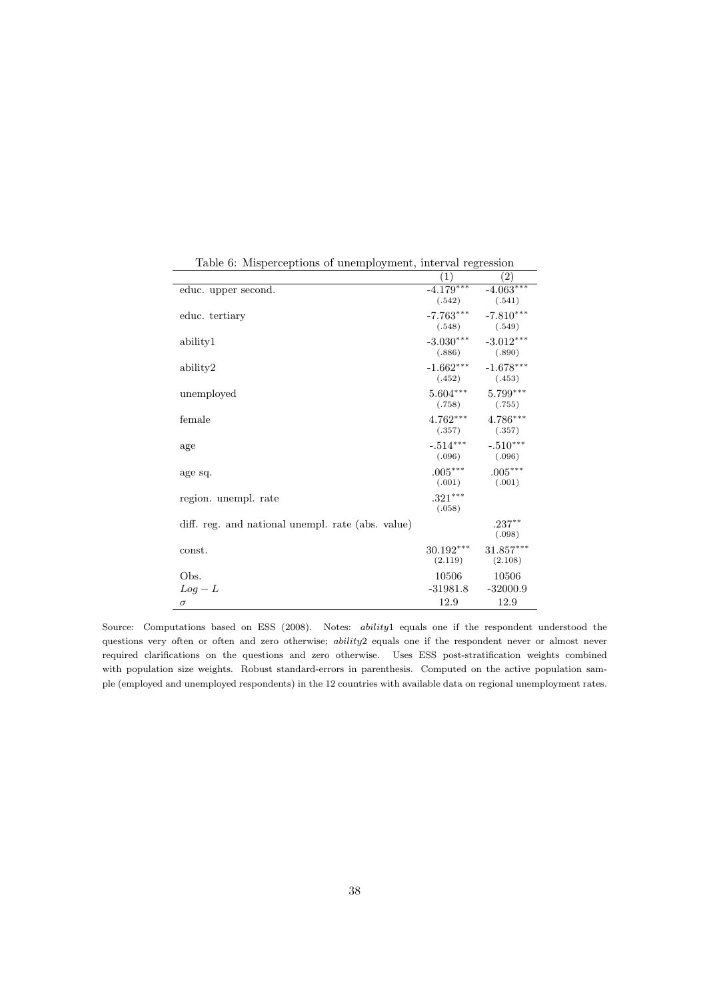|                                                   | (1)                 | $\left( 2\right)$                                     |
|---------------------------------------------------|---------------------|-------------------------------------------------------|
| educ. upper second.                               | (.542)              | $-4.179***$ $-4.063***$<br>(.541)                     |
| educ. tertiary                                    |                     | $-7.763***$ $-7.810***$<br>$(.548)$ $(.549)$          |
| ability1                                          |                     | $-3.030***$ $-3.012***$<br>$(.886)$ $(.890)$          |
| ability2                                          |                     | $-1.662***$ $-1.678***$<br>$(.452)$ $(.453)$          |
| unemployed                                        |                     | $5.604^{***} \qquad 5.799^{***}$<br>$(.758)$ $(.755)$ |
| female                                            |                     | $4.762***$ $4.786***$<br>$(.357)$ $(.357)$            |
| age                                               |                     | $-.514***$ $-.510***$<br>$(.096)$ $(.096)$            |
| age sq.                                           | $.005***$           | $.005***$<br>$(.001)$ $(.001)$                        |
| region. unempl. rate                              | $.321***$<br>(.058) |                                                       |
| diff. reg. and national unempl. rate (abs. value) |                     | $.237***$<br>(.098)                                   |
| const.                                            | $30.192***$         | $31.857***$<br>$(2.119)$ $(2.108)$                    |
| Obs.                                              | 10506               | 10506                                                 |
| $Log - L$                                         |                     | $-31981.8$ $-32000.9$                                 |
| $\sigma$                                          | 12.9                | 12.9                                                  |

Table 6: Misperceptions of unemployment, interval regression

Source: Computations based on ESS (2008). Notes: *ability*1 equals one if the respondent understood the questions very often or often and zero otherwise; *ability*2 equals one if the respondent never or almost never required clarifications on the questions and zero otherwise. Uses ESS post-stratification weights combined with population size weights. Robust standard-errors in parenthesis. Computed on the active population sample (employed and unemployed respondents) in the 12 countries with available data on regional unemployment rates.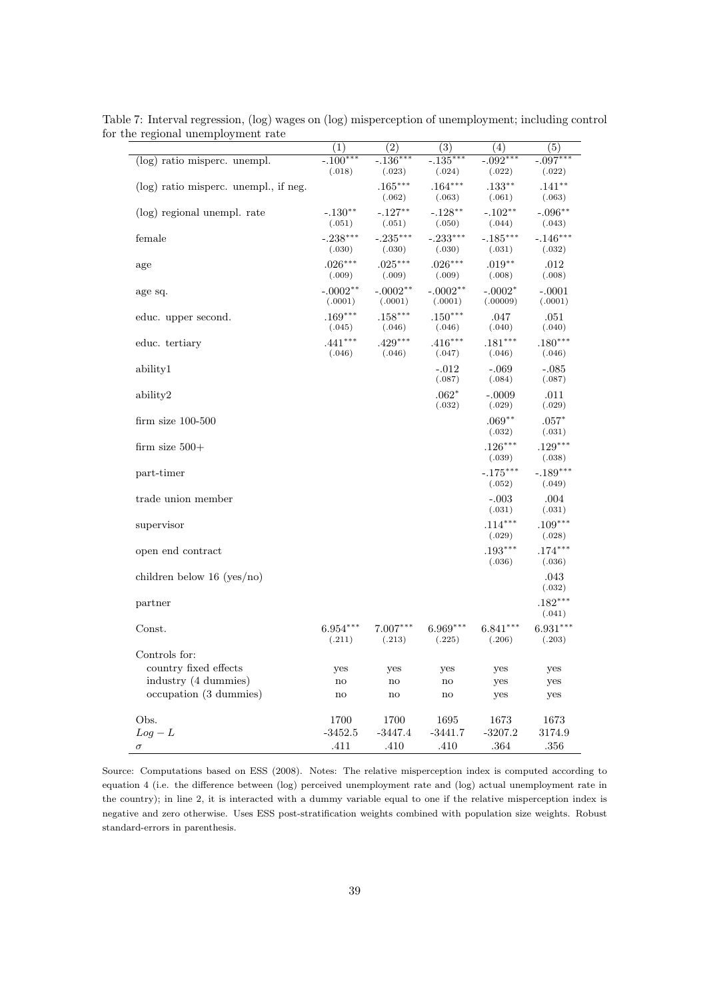|                                       | $\overline{(1)}$       | $\overline{(2)}$    | $\overline{(3)}$     | $\overline{(4)}$     | $\overline{(5)}$     |
|---------------------------------------|------------------------|---------------------|----------------------|----------------------|----------------------|
| (log) ratio misperc. unempl.          | $-.100***$             | $-.136***$          | $-.135***$           | $-.092***$           | $-.097***$           |
|                                       | (.018)                 | (.023)              | (.024)               | (.022)               | (.022)               |
| (log) ratio misperc. unempl., if neg. |                        | $.165***$           | $.164***$            | $.133***$            | $.141***$            |
|                                       |                        | (.062)              | (.063)               | (.061)               | (.063)               |
| (log) regional unempl. rate           | $-.130**$<br>(.051)    | $-.127**$<br>(.051) | $-.128***$<br>(.050) | $-.102**$<br>(.044)  | $-.096**$<br>(.043)  |
| female                                | $-.238***$             | $-.235***$          | $-.233***$           | $-.185***$           | $-.146***$           |
|                                       | (.030)                 | (.030)              | (.030)               | (.031)               | (.032)               |
| age                                   | $.026***$              | $.025***$           | $.026***$            | $.019**$             | .012                 |
|                                       | (.009)                 | (.009)              | (.009)               | (.008)               | (.008)               |
| age sq.                               | $-.0002**$             | $-.0002**$          | $-.0002**$           | $-.0002*$            | $-.0001$             |
|                                       | (.0001)                | (.0001)             | (.0001)              | (.00009)             | (.0001)              |
| educ. upper second.                   | $.169***$              | $.158***$           | $.150***$            | .047                 | .051                 |
|                                       | (.045)                 | (.046)              | (.046)               | (.040)               | (.040)               |
| educ. tertiary                        | $.441***$<br>(.046)    | $.429***$<br>(.046) | $.416***$<br>(.047)  | $.181***$<br>(.046)  | $.180***$<br>(.046)  |
| ability1                              |                        |                     | $-.012$              | $-.069$              | $-.085$              |
|                                       |                        |                     | (.087)               | (.084)               | (.087)               |
| ability2                              |                        |                     | $.062*$              | $-.0009$             | .011                 |
|                                       |                        |                     | (.032)               | (.029)               | (.029)               |
| $firm size 100-500$                   |                        |                     |                      | $.069**$             | $.057*$              |
|                                       |                        |                     |                      | (.032)               | (.031)               |
| firm size $500+$                      |                        |                     |                      | $.126***$            | $.129***$            |
|                                       |                        |                     |                      | (.039)               | (.038)               |
| part-timer                            |                        |                     |                      | $-.175***$<br>(.052) | $-.189***$<br>(.049) |
| trade union member                    |                        |                     |                      | $-.003$              | .004                 |
|                                       |                        |                     |                      | (.031)               | (.031)               |
| supervisor                            |                        |                     |                      | $.114***$            | $.109***$            |
|                                       |                        |                     |                      | (.029)               | (.028)               |
| open end contract                     |                        |                     |                      | $.193***$            | $.174***$            |
|                                       |                        |                     |                      | (.036)               | (.036)               |
| children below 16 (yes/no)            |                        |                     |                      |                      | .043                 |
|                                       |                        |                     |                      |                      | (.032)               |
| partner                               |                        |                     |                      |                      | $.182***$<br>(.041)  |
| Const.                                | $6.954***$             | $7.007***$          | $6.969***$           | $6.841***$           | $6.931***$           |
|                                       | (.211)                 | (.213)              | (.225)               | (.206)               | (.203)               |
| Controls for:                         |                        |                     |                      |                      |                      |
| country fixed effects                 | yes                    | yes                 | yes                  | yes                  | yes                  |
| industry (4 dummies)                  | $\mathbf{n}\mathbf{o}$ | no                  | $\mathbf{no}$        | yes                  | yes                  |
| occupation (3 dummies)                | $\mathop{\mathrm{no}}$ | no                  | $\mathbf{no}$        | yes                  | yes                  |
|                                       |                        |                     |                      |                      |                      |
| Obs.                                  | 1700                   | 1700                | 1695                 | 1673                 | 1673                 |
| $Log - L$                             | $-3452.5$              | $-3447.4$           | $-3441.7$            | $-3207.2$            | 3174.9               |
| $\sigma$                              | .411                   | .410                | .410                 | .364                 | .356                 |

Table 7: Interval regression, (log) wages on (log) misperception of unemployment; including control for the regional unemployment rate

Source: Computations based on ESS (2008). Notes: The relative misperception index is computed according to equation 4 (i.e. the difference between (log) perceived unemployment rate and (log) actual unemployment rate in the country); in line 2, it is interacted with a dummy variable equal to one if the relative misperception index is negative and zero otherwise. Uses ESS post-stratification weights combined with population size weights. Robust standard-errors in parenthesis.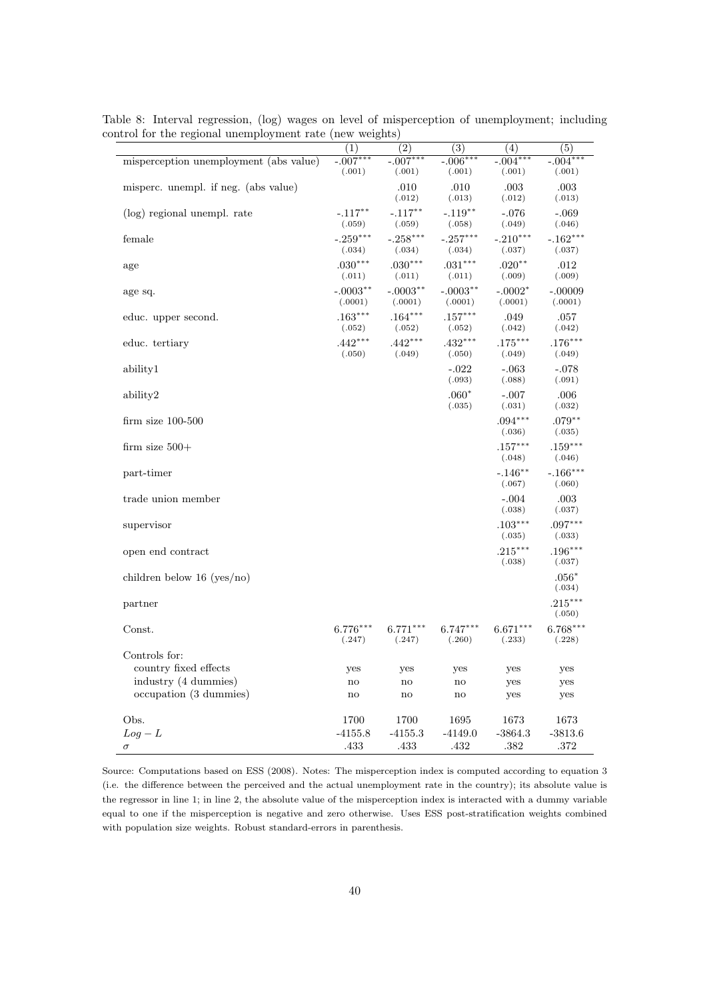|                                        | $\overline{(1)}$ | $\overline{(2)}$       | $\overline{(3)}$       | $\overline{(4)}$     | $\overline{(5)}$     |
|----------------------------------------|------------------|------------------------|------------------------|----------------------|----------------------|
| misperception unemployment (abs value) | $-.007***$       | $-.007***$             | $-.006***$             | $-.004***$           | $-.004***$           |
|                                        | (.001)           | (.001)                 | (.001)                 | (.001)               | (.001)               |
| misperc. unempl. if neg. (abs value)   |                  | .010                   | .010                   | .003                 | .003                 |
|                                        |                  | (.012)                 | (.013)                 | (.012)               | (.013)               |
| (log) regional unempl. rate            | $-.117***$       | $-.117***$             | $-.119**$              | $-.076$              | $-.069$              |
|                                        | (.059)           | (.059)                 | (.058)                 | (.049)               | (.046)               |
| female                                 | $-.259***$       | $-.258***$             | $-.257***$             | $-.210***$           | $-.162***$           |
|                                        | (.034)           | (.034)                 | (.034)                 | (.037)               | (.037)               |
| age                                    | $.030***$        | $.030***$              | $.031***$              | $.020**$             | .012                 |
|                                        | (.011)           | (.011)                 | (.011)                 | (.009)               | (.009)               |
| age sq.                                | $-.0003***$      | $-.0003**$             | $-.0003**$             | $-.0002*$            | $-.00009$            |
|                                        | (.0001)          | (.0001)                | (.0001)                | (.0001)              | (.0001)              |
| educ. upper second.                    | $.163***$        | $.164***$              | $.157***$              | .049                 | .057                 |
|                                        | (.052)           | (.052)                 | (.052)                 | (.042)               | (.042)               |
| educ. tertiary                         | $.442***$        | $.442***$              | $.432***$              | $.175***$            | $.176***$            |
|                                        | (.050)           | (.049)                 | (.050)                 | (.049)               | (.049)               |
| ability1                               |                  |                        | $-.022$                | $-.063$              | $-.078$              |
|                                        |                  |                        | (.093)                 | (.088)               | (.091)               |
|                                        |                  |                        | $.060*$                |                      |                      |
| ability2                               |                  |                        | (.035)                 | $-.007$<br>(.031)    | .006<br>(.032)       |
|                                        |                  |                        |                        |                      | $.079**$             |
| $firm size 100-500$                    |                  |                        |                        | $.094***$<br>(.036)  | (.035)               |
|                                        |                  |                        |                        |                      |                      |
| firm size $500+$                       |                  |                        |                        | $.157***$<br>(.048)  | $.159***$<br>(.046)  |
|                                        |                  |                        |                        |                      |                      |
| part-timer                             |                  |                        |                        | $-.146***$<br>(.067) | $-.166***$<br>(.060) |
|                                        |                  |                        |                        |                      |                      |
| trade union member                     |                  |                        |                        | $-.004$<br>(.038)    | .003                 |
|                                        |                  |                        |                        |                      | (.037)               |
| supervisor                             |                  |                        |                        | $.103***$            | $.097***$            |
|                                        |                  |                        |                        | (.035)               | (.033)               |
| open end contract                      |                  |                        |                        | $.215***$            | $.196***$            |
|                                        |                  |                        |                        | (.038)               | (.037)               |
| children below $16 \text{ (yes/no)}$   |                  |                        |                        |                      | $.056*$              |
|                                        |                  |                        |                        |                      | (.034)               |
| partner                                |                  |                        |                        |                      | $.215***$            |
|                                        |                  |                        |                        |                      | (.050)               |
| Const.                                 | $6.776***$       | $6.771***$             | $6.747***$             | $6.671***$           | $6.768***$           |
|                                        | (.247)           | (.247)                 | (.260)                 | (.233)               | (.228)               |
| Controls for:                          |                  |                        |                        |                      |                      |
| country fixed effects                  | yes              | yes                    | yes                    | yes                  | yes                  |
| industry (4 dummies)                   | no               | $\mathbf{n}\mathbf{o}$ | $\mathbf{n}\mathbf{o}$ | yes                  | yes                  |
| occupation (3 dummies)                 | no               | $\mathbf{n}\mathbf{o}$ | $\mathbf{n}\mathbf{o}$ | yes                  | yes                  |
|                                        |                  |                        |                        |                      |                      |
| Obs.                                   | 1700             | 1700                   | 1695                   | 1673                 | 1673                 |
| $Log - L$                              | $-4155.8$        | $-4155.3$              | $-4149.0$              | $-3864.3$            | $-3813.6$            |
| $\sigma$                               | .433             | .433                   | .432                   | .382                 | .372                 |

Table 8: Interval regression, (log) wages on level of misperception of unemployment; including control for the regional unemployment rate (new weights)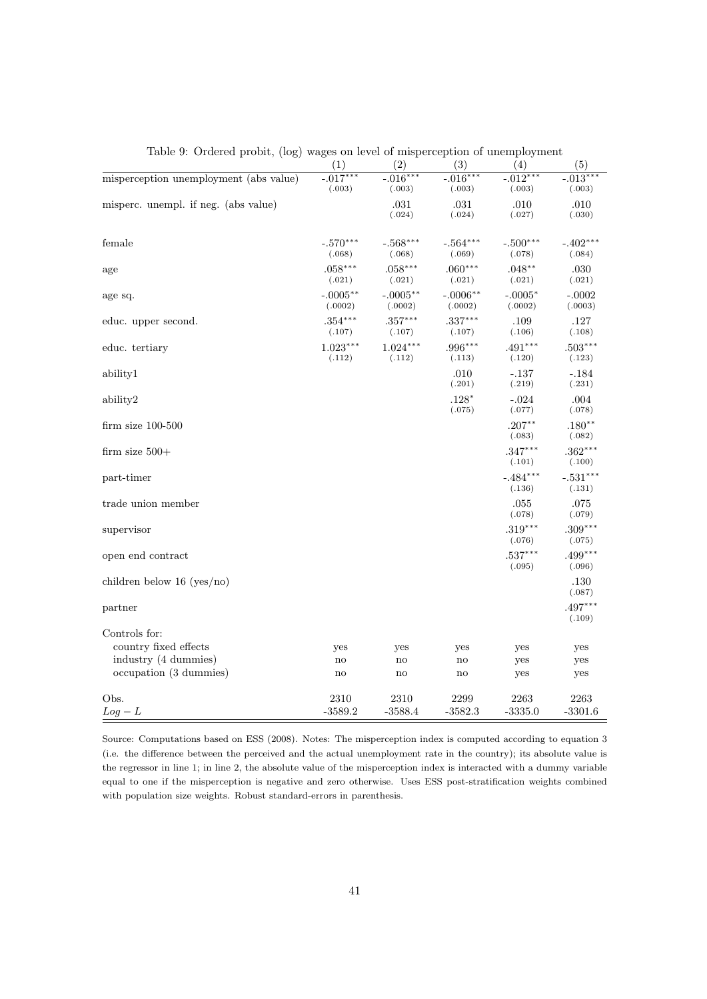|                                        | (1)                   | (2)                   | (3)                   | (4)                   | (5)                   |
|----------------------------------------|-----------------------|-----------------------|-----------------------|-----------------------|-----------------------|
| misperception unemployment (abs value) | $-0.017***$<br>(.003) | $-0.016***$<br>(.003) | $-0.016***$<br>(.003) | $-0.012***$<br>(.003) | $-0.013***$<br>(.003) |
| misperc. unempl. if neg. (abs value)   |                       | .031<br>(.024)        | .031<br>(.024)        | .010<br>(.027)        | .010<br>(.030)        |
| female                                 | $-.570***$<br>(.068)  | $-.568***$<br>(.068)  | $-.564***$<br>(.069)  | $-.500***$<br>(.078)  | $-.402***$<br>(.084)  |
| age                                    | $.058***$<br>(.021)   | $.058***$<br>(.021)   | $.060***$<br>(.021)   | $.048**$<br>(.021)    | .030<br>(.021)        |
| age sq.                                | $-.0005**$<br>(.0002) | $-.0005**$<br>(.0002) | $-.0006**$<br>(.0002) | $-.0005^*$<br>(.0002) | $-.0002$<br>(.0003)   |
| educ. upper second.                    | $.354***$<br>(.107)   | $.357***$<br>(.107)   | $.337***$<br>(.107)   | .109<br>(.106)        | .127<br>(.108)        |
| educ. tertiary                         | $1.023***$<br>(.112)  | $1.024***$<br>(.112)  | $.996***$<br>(.113)   | $.491***$<br>(.120)   | $.503***$<br>(.123)   |
| ability1                               |                       |                       | .010<br>(.201)        | $-.137$<br>(.219)     | $-.184$<br>(.231)     |
| ability2                               |                       |                       | $.128*$<br>(.075)     | $-.024$<br>(.077)     | .004<br>(.078)        |
| $firm size 100-500$                    |                       |                       |                       | $.207***$<br>(.083)   | $.180**$<br>(.082)    |
| firm size $500+$                       |                       |                       |                       | $.347***$<br>(.101)   | $.362***$<br>(.100)   |
| part-timer                             |                       |                       |                       | $-.484***$<br>(.136)  | $-.531***$<br>(.131)  |
| trade union member                     |                       |                       |                       | .055<br>(.078)        | .075<br>(.079)        |
| supervisor                             |                       |                       |                       | $.319***$<br>(.076)   | $.309***$<br>(.075)   |
| open end contract                      |                       |                       |                       | $.537***$<br>(.095)   | $.499***$<br>(.096)   |
| children below 16 (yes/no)             |                       |                       |                       |                       | .130<br>(.087)        |
| partner                                |                       |                       |                       |                       | $.497***$<br>(.109)   |
| Controls for:                          |                       |                       |                       |                       |                       |
| country fixed effects                  | yes                   | yes                   | yes                   | yes                   | yes                   |
| industry (4 dummies)                   | no                    | no                    | $\mathbf{n}$          | yes                   | yes                   |
| occupation (3 dummies)                 | no                    | no                    | $\mathbf{n}$          | yes                   | yes                   |
| Obs.                                   | 2310                  | 2310                  | 2299                  | 2263                  | 2263                  |
| $Log - L$                              | $-3589.2$             | $-3588.4$             | $-3582.3$             | $-3335.0$             | $-3301.6$             |

Table 9: Ordered probit, (log) wages on level of misperception of unemployment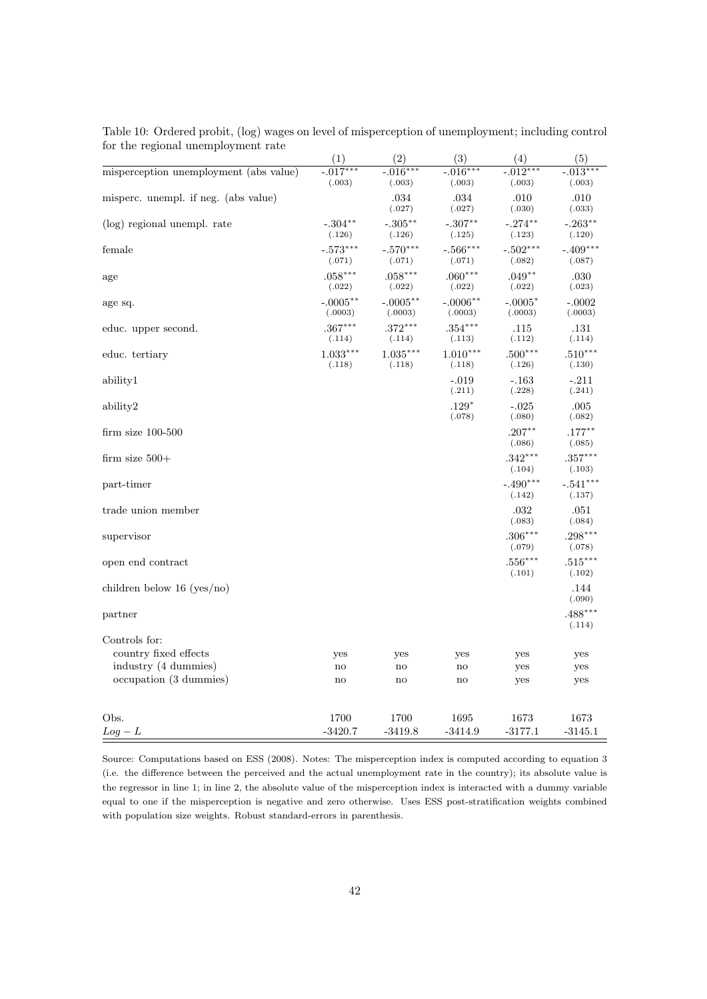|                                        | (1)                    | (2)                    | (3)                   | (4)                  | (5)                  |
|----------------------------------------|------------------------|------------------------|-----------------------|----------------------|----------------------|
| misperception unemployment (abs value) | $-0.017***$<br>(.003)  | $-0.016***$<br>(.003)  | $-.016***$<br>(.003)  | $-.012***$<br>(.003) | $-.013***$<br>(.003) |
| misperc. unempl. if neg. (abs value)   |                        | .034<br>(.027)         | .034<br>(.027)        | .010<br>(.030)       | .010<br>(.033)       |
| (log) regional unempl. rate            | $-.304***$<br>(.126)   | $-.305***$<br>(.126)   | $-.307**$<br>(.125)   | $-.274***$<br>(.123) | $-.263**$<br>(.120)  |
| female                                 | $-.573***$<br>(.071)   | $-.570***$<br>(.071)   | $-.566***$<br>(.071)  | $-.502***$<br>(.082) | $-.409***$<br>(.087) |
| age                                    | $.058***$<br>(.022)    | $.058***$<br>(.022)    | $.060***$<br>(.022)   | $.049**$<br>(.022)   | .030<br>(.023)       |
| age sq.                                | $-.0005***$<br>(.0003) | $-.0005***$<br>(.0003) | $-.0006**$<br>(.0003) | $-.0005*$<br>(.0003) | $-.0002$<br>(.0003)  |
| educ. upper second.                    | $.367***$<br>(.114)    | $.372***$<br>(.114)    | $.354***$<br>(.113)   | .115<br>(.112)       | .131<br>(.114)       |
| educ. tertiary                         | $1.033***$<br>(.118)   | $1.035***$<br>(.118)   | $1.010***$<br>(.118)  | $.500***$<br>(.126)  | $.510***$<br>(.130)  |
| ability1                               |                        |                        | $-.019$<br>(.211)     | $-.163$<br>(.228)    | $-.211$<br>(.241)    |
| ability2                               |                        |                        | $.129*$<br>(.078)     | $-.025$<br>(.080)    | .005<br>(.082)       |
| $firm size 100-500$                    |                        |                        |                       | $.207***$<br>(.086)  | $.177***$<br>(.085)  |
| firm size $500+$                       |                        |                        |                       | $.342***$<br>(.104)  | $.357***$<br>(.103)  |
| part-timer                             |                        |                        |                       | $-.490***$<br>(.142) | $-.541***$<br>(.137) |
| trade union member                     |                        |                        |                       | .032<br>(.083)       | .051<br>(.084)       |
| supervisor                             |                        |                        |                       | $.306***$<br>(.079)  | $.298***$<br>(.078)  |
| open end contract                      |                        |                        |                       | $.556***$<br>(.101)  | $.515***$<br>(.102)  |
| children below 16 (yes/no)             |                        |                        |                       |                      | .144<br>(.090)       |
| partner                                |                        |                        |                       |                      | $.488***$<br>(.114)  |
| Controls for:                          |                        |                        |                       |                      |                      |
| country fixed effects                  | yes                    | yes                    | yes                   | yes                  | yes                  |
| industry (4 dummies)                   | $\mathbf{no}$          | $\mathbf{no}$          | no                    | yes                  | yes                  |
| occupation (3 dummies)                 | no                     | no                     | no                    | yes                  | yes                  |
| Obs.                                   | 1700                   | 1700                   | 1695                  | 1673                 | 1673                 |
| $Log - L$                              | $-3420.7$              | $-3419.8$              | $-3414.9$             | $-3177.1$            | $-3145.1$            |

Table 10: Ordered probit, (log) wages on level of misperception of unemployment; including control for the regional unemployment rate